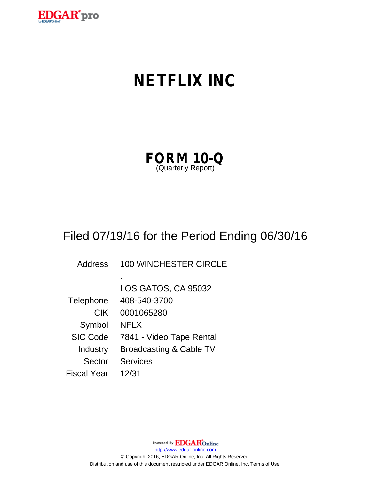

| <b>FORM 10-Q</b>   |  |  |
|--------------------|--|--|
| (Quarterly Report) |  |  |

# Filed 07/19/16 for the Period Ending 06/30/16

Address 100 WINCHESTER CIRCLE

LOS GATOS, CA 95032 Telephone 408-540-3700 CIK 0001065280 Symbol NFLX SIC Code 7841 - Video Tape Rental Industry Broadcasting & Cable TV Sector Services Fiscal Year 12/31

.

Powered By **EDGAR**Online

http://www.edgar-online.com © Copyright 2016, EDGAR Online, Inc. All Rights Reserved. Distribution and use of this document restricted under EDGAR Online, Inc. Terms of Use.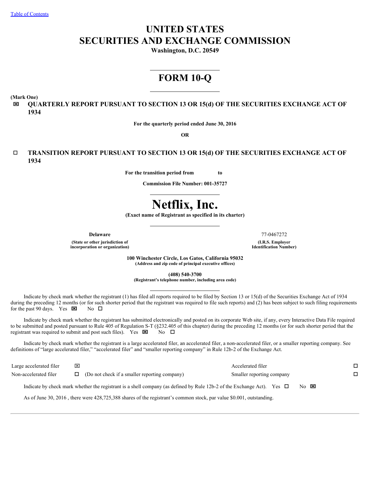# **UNITED STATES SECURITIES AND EXCHANGE COMMISSION**

**Washington, D.C. 20549**

# **FORM 10-Q**

**(Mark One)**

x **QUARTERLY REPORT PURSUANT TO SECTION 13 OR 15(d) OF THE SECURITIES EXCHANGE ACT OF 1934**

**For the quarterly period ended June 30, 2016**

**OR**

o **TRANSITION REPORT PURSUANT TO SECTION 13 OR 15(d) OF THE SECURITIES EXCHANGE ACT OF 1934**

**For the transition period from to** 

**Commission File Number: 001-35727**

# **Netflix, Inc.**

**(Exact name of Registrant as specified in its charter)**

**(State or other jurisdiction of incorporation or organization)**

> **100 Winchester Circle, Los Gatos, California 95032 (Address and zip code of principal executive offices)**

> > **(408) 540-3700**

**(Registrant's telephone number, including area code)**

Indicate by check mark whether the registrant (1) has filed all reports required to be filed by Section 13 or 15(d) of the Securities Exchange Act of 1934 during the preceding 12 months (or for such shorter period that the registrant was required to file such reports) and (2) has been subject to such filing requirements for the past 90 days. Yes  $\boxtimes$ No  $\Box$ 

Indicate by check mark whether the registrant has submitted electronically and posted on its corporate Web site, if any, every Interactive Data File required to be submitted and posted pursuant to Rule 405 of Regulation S-T (§232.405 of this chapter) during the preceding 12 months (or for such shorter period that the registrant was required to submit and post such files). Yes  $\boxtimes$ No  $\Box$ 

 Indicate by check mark whether the registrant is a large accelerated filer, an accelerated filer, a non-accelerated filer, or a smaller reporting company. See definitions of "large accelerated filer," "accelerated filer" and "smaller reporting company" in Rule 12b-2 of the Exchange Act.

Large accelerated filer  $\square$ Non-accelerated filer  $\Box$  (Do not check if a smaller reporting company) Smaller reporting company  $\Box$ Indicate by check mark whether the registrant is a shell company (as defined by Rule 12b-2 of the Exchange Act). Yes  $\Box$  $N<sub>0</sub>$   $\boxtimes$ As of June 30, 2016 , there were 428,725,388 shares of the registrant's common stock, par value \$0.001, outstanding.

**(I.R.S. Employer Identification Number)**

**Delaware** 77-0467272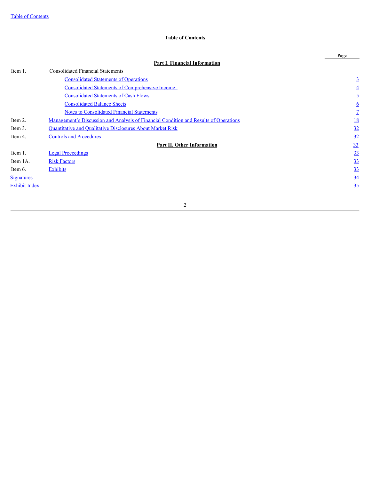# **Table of Contents**

|                      |                                                                                       | Page |
|----------------------|---------------------------------------------------------------------------------------|------|
|                      | <b>Part I. Financial Information</b>                                                  |      |
| Item 1.              | <b>Consolidated Financial Statements</b>                                              |      |
|                      | <b>Consolidated Statements of Operations</b>                                          |      |
|                      | <b>Consolidated Statements of Comprehensive Income</b>                                |      |
|                      | <b>Consolidated Statements of Cash Flows</b>                                          |      |
|                      | <b>Consolidated Balance Sheets</b>                                                    |      |
|                      | <b>Notes to Consolidated Financial Statements</b>                                     |      |
| Item 2.              | Management's Discussion and Analysis of Financial Condition and Results of Operations | 18   |
| Item 3.              | Quantitative and Qualitative Disclosures About Market Risk                            | 32   |
| Item 4.              | <b>Controls and Procedures</b>                                                        | 32   |
|                      | <b>Part II. Other Information</b>                                                     | 33   |
| Item 1.              | <b>Legal Proceedings</b>                                                              | 33   |
| Item 1A.             | <b>Risk Factors</b>                                                                   | 33   |
| Item 6.              | <b>Exhibits</b>                                                                       | 33   |
| <b>Signatures</b>    |                                                                                       | 34   |
| <b>Exhibit Index</b> |                                                                                       | 35   |
|                      |                                                                                       |      |
|                      | $\overline{2}$                                                                        |      |
|                      |                                                                                       |      |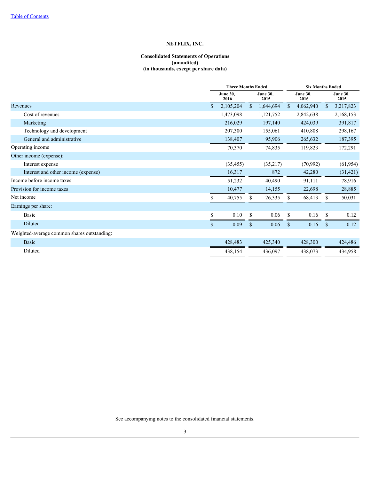# **Consolidated Statements of Operations (unaudited) (in thousands, except per share data)**

|                                             | <b>Three Months Ended</b> |    |                         | <b>Six Months Ended</b> |                         |               |                         |  |  |
|---------------------------------------------|---------------------------|----|-------------------------|-------------------------|-------------------------|---------------|-------------------------|--|--|
|                                             | <b>June 30,</b><br>2016   |    | <b>June 30,</b><br>2015 |                         | <b>June 30,</b><br>2016 |               | <b>June 30,</b><br>2015 |  |  |
| Revenues                                    | 2,105,204                 |    | 1,644,694               | <sup>\$</sup>           | 4,062,940               |               | 3,217,823               |  |  |
| Cost of revenues                            | 1,473,098                 |    | 1,121,752               |                         | 2,842,638               |               | 2,168,153               |  |  |
| Marketing                                   | 216,029                   |    | 197,140                 |                         | 424,039                 |               | 391,817                 |  |  |
| Technology and development                  | 207,300                   |    | 155,061                 |                         | 410,808                 |               | 298,167                 |  |  |
| General and administrative                  | 138,407                   |    | 95,906                  |                         | 265,632                 |               | 187,395                 |  |  |
| Operating income                            | 70,370                    |    | 74,835                  |                         | 119,823                 |               | 172,291                 |  |  |
| Other income (expense):                     |                           |    |                         |                         |                         |               |                         |  |  |
| Interest expense                            | (35, 455)                 |    | (35,217)                |                         | (70,992)                |               | (61, 954)               |  |  |
| Interest and other income (expense)         | 16,317                    |    | 872                     |                         | 42,280                  |               | (31, 421)               |  |  |
| Income before income taxes                  | 51,232                    |    | 40,490                  |                         | 91,111                  |               | 78,916                  |  |  |
| Provision for income taxes                  | 10,477                    |    | 14,155                  |                         | 22,698                  |               | 28,885                  |  |  |
| Net income                                  | 40,755                    |    | 26,335                  | <sup>\$</sup>           | 68,413                  | <sup>\$</sup> | 50,031                  |  |  |
| Earnings per share:                         |                           |    |                         |                         |                         |               |                         |  |  |
| Basic                                       | 0.10                      | -8 | 0.06                    | <sup>\$</sup>           | 0.16                    | <sup>\$</sup> | 0.12                    |  |  |
| Diluted                                     | 0.09                      |    | 0.06                    | -S                      | 0.16                    | -S            | 0.12                    |  |  |
| Weighted-average common shares outstanding: |                           |    |                         |                         |                         |               |                         |  |  |
| Basic                                       | 428,483                   |    | 425,340                 |                         | 428,300                 |               | 424,486                 |  |  |
| Diluted                                     | 438,154                   |    | 436,097                 |                         | 438,073                 |               | 434,958                 |  |  |
|                                             |                           |    |                         |                         |                         |               |                         |  |  |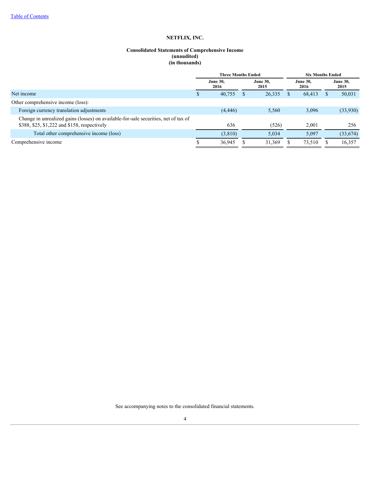# **Consolidated Statements of Comprehensive Income (unaudited) (in thousands)**

|                                                                                                                                     | <b>Three Months Ended</b> |  |                         | <b>Six Months Ended</b> |                         |           |  |  |
|-------------------------------------------------------------------------------------------------------------------------------------|---------------------------|--|-------------------------|-------------------------|-------------------------|-----------|--|--|
|                                                                                                                                     | <b>June 30,</b><br>2016   |  | <b>June 30,</b><br>2015 | <b>June 30,</b><br>2016 | <b>June 30,</b><br>2015 |           |  |  |
| Net income                                                                                                                          | 40,755                    |  | 26,335                  | 68,413                  |                         | 50,031    |  |  |
| Other comprehensive income (loss):                                                                                                  |                           |  |                         |                         |                         |           |  |  |
| Foreign currency translation adjustments                                                                                            | (4, 446)                  |  | 5,560                   | 3,096                   |                         | (33,930)  |  |  |
| Change in unrealized gains (losses) on available-for-sale securities, net of tax of<br>\$388, \$25, \$1,222 and \$158, respectively | 636                       |  | (526)                   | 2,001                   |                         | 256       |  |  |
| Total other comprehensive income (loss)                                                                                             | (3,810)                   |  | 5,034                   | 5,097                   |                         | (33, 674) |  |  |
| Comprehensive income                                                                                                                | 36,945                    |  | 31,369                  | 73,510                  |                         | 16,357    |  |  |
|                                                                                                                                     |                           |  |                         |                         |                         |           |  |  |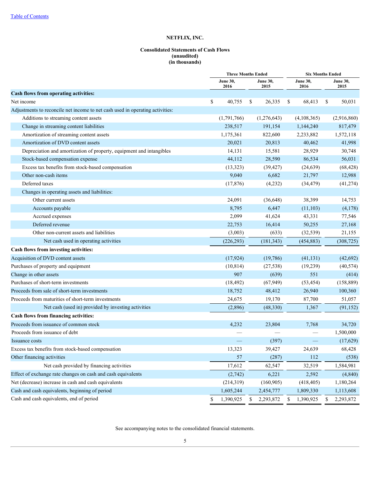# **Consolidated Statements of Cash Flows (unaudited) (in thousands)**

|                                                                               |               | <b>Three Months Ended</b> |                         | <b>Six Months Ended</b> |                         |               |                         |  |  |
|-------------------------------------------------------------------------------|---------------|---------------------------|-------------------------|-------------------------|-------------------------|---------------|-------------------------|--|--|
|                                                                               |               | <b>June 30,</b><br>2016   | <b>June 30,</b><br>2015 |                         | <b>June 30,</b><br>2016 |               | <b>June 30,</b><br>2015 |  |  |
| Cash flows from operating activities:                                         |               |                           |                         |                         |                         |               |                         |  |  |
| Net income                                                                    | <sup>\$</sup> | 40,755                    | 26,335<br>- \$          | - \$                    | 68,413                  | - \$          | 50,031                  |  |  |
| Adjustments to reconcile net income to net cash used in operating activities: |               |                           |                         |                         |                         |               |                         |  |  |
| Additions to streaming content assets                                         |               | (1,791,766)               | (1,276,643)             |                         | (4,108,365)             |               | (2,916,860)             |  |  |
| Change in streaming content liabilities                                       |               | 238,517                   | 191,154                 |                         | 1,144,240               |               | 817,479                 |  |  |
| Amortization of streaming content assets                                      |               | 1,175,361                 | 822,600                 |                         | 2,233,882               |               | 1,572,118               |  |  |
| Amortization of DVD content assets                                            |               | 20,021                    | 20,813                  |                         | 40,462                  |               | 41,998                  |  |  |
| Depreciation and amortization of property, equipment and intangibles          |               | 14,131                    | 15,581                  |                         | 28,929                  |               | 30,748                  |  |  |
| Stock-based compensation expense                                              |               | 44,112                    | 28,590                  |                         | 86,534                  |               | 56,031                  |  |  |
| Excess tax benefits from stock-based compensation                             |               | (13, 323)                 | (39, 427)               |                         | (24, 639)               |               | (68, 428)               |  |  |
| Other non-cash items                                                          |               | 9,040                     | 6,682                   |                         | 21,797                  |               | 12,988                  |  |  |
| Deferred taxes                                                                |               | (17, 876)                 | (4,232)                 |                         | (34, 479)               |               | (41, 274)               |  |  |
| Changes in operating assets and liabilities:                                  |               |                           |                         |                         |                         |               |                         |  |  |
| Other current assets                                                          |               | 24,091                    | (36, 648)               |                         | 38,399                  |               | 14,753                  |  |  |
| Accounts payable                                                              |               | 8,795                     | 6,447                   |                         | (11, 103)               |               | (4,178)                 |  |  |
| Accrued expenses                                                              |               | 2,099                     | 41,624                  |                         | 43,331                  |               | 77,546                  |  |  |
| Deferred revenue                                                              |               | 22,753                    | 16,414                  |                         | 50,255                  |               | 27,168                  |  |  |
| Other non-current assets and liabilities                                      |               | (3,003)                   | (633)                   |                         | (32, 539)               |               | 21,155                  |  |  |
| Net cash used in operating activities                                         |               | (226, 293)                | (181, 343)              |                         | (454, 883)              |               | (308, 725)              |  |  |
| Cash flows from investing activities:                                         |               |                           |                         |                         |                         |               |                         |  |  |
| Acquisition of DVD content assets                                             |               | (17, 924)                 | (19,786)                |                         | (41, 131)               |               | (42,692)                |  |  |
| Purchases of property and equipment                                           |               | (10, 814)                 | (27, 538)               |                         | (19,239)                |               | (40, 574)               |  |  |
| Change in other assets                                                        |               | 907                       | (639)                   |                         | 551                     |               | (414)                   |  |  |
| Purchases of short-term investments                                           |               | (18, 492)                 | (67, 949)               |                         | (53, 454)               |               | (158, 889)              |  |  |
| Proceeds from sale of short-term investments                                  |               | 18,752                    | 48,412                  |                         | 26,940                  |               | 100,360                 |  |  |
| Proceeds from maturities of short-term investments                            |               | 24,675                    | 19,170                  |                         | 87,700                  |               | 51,057                  |  |  |
| Net cash (used in) provided by investing activities                           |               | (2,896)                   | (48, 330)               |                         | 1,367                   |               | (91, 152)               |  |  |
| Cash flows from financing activities:                                         |               |                           |                         |                         |                         |               |                         |  |  |
| Proceeds from issuance of common stock                                        |               | 4,232                     | 23,804                  |                         | 7,768                   |               | 34,720                  |  |  |
| Proceeds from issuance of debt                                                |               |                           |                         |                         |                         |               | 1,500,000               |  |  |
| Issuance costs                                                                |               |                           | (397)                   |                         |                         |               | (17,629)                |  |  |
| Excess tax benefits from stock-based compensation                             |               | 13,323                    | 39,427                  |                         | 24,639                  |               | 68,428                  |  |  |
| Other financing activities                                                    |               | 57                        | (287)                   |                         | 112                     |               | (538)                   |  |  |
|                                                                               |               |                           |                         |                         |                         |               |                         |  |  |
| Net cash provided by financing activities                                     |               | 17,612                    | 62,547                  |                         | 32,519                  |               | 1,584,981               |  |  |
| Effect of exchange rate changes on cash and cash equivalents                  |               | (2,742)                   | 6,221                   |                         | 2,592                   |               | (4, 840)                |  |  |
| Net (decrease) increase in cash and cash equivalents                          |               | (214,319)                 | (160, 905)              |                         | (418, 405)              |               | 1,180,264               |  |  |
| Cash and cash equivalents, beginning of period                                |               | 1,605,244                 | 2,454,777               |                         | 1,809,330               |               | 1,113,608               |  |  |
| Cash and cash equivalents, end of period                                      | \$            | 1,390,925                 | 2,293,872 \$<br>-S      |                         | 1,390,925               | <sup>\$</sup> | 2,293,872               |  |  |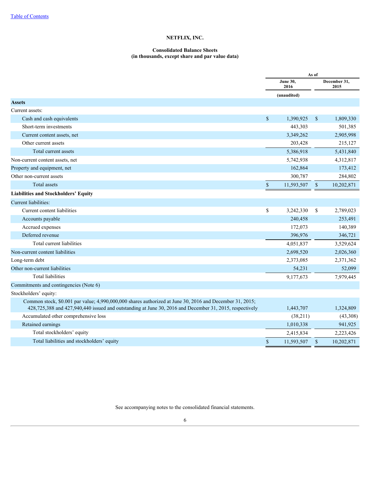# **Consolidated Balance Sheets (in thousands, except share and par value data)**

|                                                                                                                                                                                                                     | As of        |                         |  |                      |  |  |
|---------------------------------------------------------------------------------------------------------------------------------------------------------------------------------------------------------------------|--------------|-------------------------|--|----------------------|--|--|
|                                                                                                                                                                                                                     |              | <b>June 30,</b><br>2016 |  | December 31,<br>2015 |  |  |
|                                                                                                                                                                                                                     |              | (unaudited)             |  |                      |  |  |
| Assets                                                                                                                                                                                                              |              |                         |  |                      |  |  |
| Current assets:                                                                                                                                                                                                     |              |                         |  |                      |  |  |
| Cash and cash equivalents                                                                                                                                                                                           | $\mathbb{S}$ | 1,390,925 \$            |  | 1,809,330            |  |  |
| Short-term investments                                                                                                                                                                                              |              | 443,303                 |  | 501,385              |  |  |
| Current content assets, net                                                                                                                                                                                         |              | 3,349,262               |  | 2,905,998            |  |  |
| Other current assets                                                                                                                                                                                                |              | 203,428                 |  | 215,127              |  |  |
| Total current assets                                                                                                                                                                                                |              | 5,386,918               |  | 5,431,840            |  |  |
| Non-current content assets, net                                                                                                                                                                                     |              | 5,742,938               |  | 4,312,817            |  |  |
| Property and equipment, net                                                                                                                                                                                         |              | 162,864                 |  | 173,412              |  |  |
| Other non-current assets                                                                                                                                                                                            |              | 300,787                 |  | 284,802              |  |  |
| Total assets                                                                                                                                                                                                        | $\mathbb{S}$ | 11,593,507 \$           |  | 10,202,871           |  |  |
| <b>Liabilities and Stockholders' Equity</b>                                                                                                                                                                         |              |                         |  |                      |  |  |
| Current liabilities:                                                                                                                                                                                                |              |                         |  |                      |  |  |
| Current content liabilities                                                                                                                                                                                         | $\mathbb{S}$ | 3,242,330 \$            |  | 2,789,023            |  |  |
| Accounts payable                                                                                                                                                                                                    |              | 240,458                 |  | 253,491              |  |  |
| Accrued expenses                                                                                                                                                                                                    |              | 172,073                 |  | 140,389              |  |  |
| Deferred revenue                                                                                                                                                                                                    |              | 396,976                 |  | 346,721              |  |  |
| Total current liabilities                                                                                                                                                                                           |              | 4,051,837               |  | 3,529,624            |  |  |
| Non-current content liabilities                                                                                                                                                                                     |              | 2,698,520               |  | 2,026,360            |  |  |
| Long-term debt                                                                                                                                                                                                      |              | 2,373,085               |  | 2,371,362            |  |  |
| Other non-current liabilities                                                                                                                                                                                       |              | 54,231                  |  | 52,099               |  |  |
| <b>Total liabilities</b>                                                                                                                                                                                            |              | 9,177,673               |  | 7,979,445            |  |  |
| Commitments and contingencies (Note 6)                                                                                                                                                                              |              |                         |  |                      |  |  |
| Stockholders' equity:                                                                                                                                                                                               |              |                         |  |                      |  |  |
| Common stock, \$0.001 par value; 4,990,000,000 shares authorized at June 30, 2016 and December 31, 2015;<br>428,725,388 and 427,940,440 issued and outstanding at June 30, 2016 and December 31, 2015, respectively |              | 1,443,707               |  | 1,324,809            |  |  |
| Accumulated other comprehensive loss                                                                                                                                                                                |              | (38,211)                |  | (43,308)             |  |  |
| Retained earnings                                                                                                                                                                                                   |              | 1,010,338               |  | 941,925              |  |  |
| Total stockholders' equity                                                                                                                                                                                          |              | 2,415,834               |  | 2,223,426            |  |  |
| Total liabilities and stockholders' equity                                                                                                                                                                          | $\mathbb{S}$ | 11,593,507 \$           |  | 10,202,871           |  |  |
|                                                                                                                                                                                                                     |              |                         |  |                      |  |  |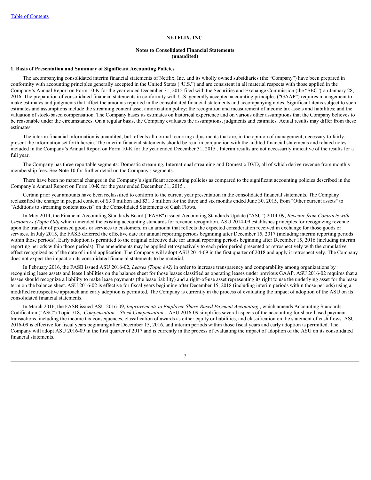#### **Notes to Consolidated Financial Statements (unaudited)**

#### **1. Basis of Presentation and Summary of Significant Accounting Policies**

The accompanying consolidated interim financial statements of Netflix, Inc. and its wholly owned subsidiaries (the "Company") have been prepared in conformity with accounting principles generally accepted in the United States ("U.S.") and are consistent in all material respects with those applied in the Company's Annual Report on Form 10-K for the year ended December 31, 2015 filed with the Securities and Exchange Commission (the "SEC") on January 28, 2016. The preparation of consolidated financial statements in conformity with U.S. generally accepted accounting principles ("GAAP") requires management to make estimates and judgments that affect the amounts reported in the consolidated financial statements and accompanying notes. Significant items subject to such estimates and assumptions include the streaming content asset amortization policy; the recognition and measurement of income tax assets and liabilities; and the valuation of stock-based compensation. The Company bases its estimates on historical experience and on various other assumptions that the Company believes to be reasonable under the circumstances. On a regular basis, the Company evaluates the assumptions, judgments and estimates. Actual results may differ from these estimates.

The interim financial information is unaudited, but reflects all normal recurring adjustments that are, in the opinion of management, necessary to fairly present the information set forth herein. The interim financial statements should be read in conjunction with the audited financial statements and related notes included in the Company's Annual Report on Form 10-K for the year ended December 31, 2015 . Interim results are not necessarily indicative of the results for a full year.

The Company has three reportable segments: Domestic streaming, International streaming and Domestic DVD, all of which derive revenue from monthly membership fees. See Note 10 for further detail on the Company's segments.

There have been no material changes in the Company's significant accounting policies as compared to the significant accounting policies described in the Company's Annual Report on Form 10-K for the year ended December 31, 2015 .

Certain prior year amounts have been reclassified to conform to the current year presentation in the consolidated financial statements. The Company reclassified the change in prepaid content of \$3.0 million and \$31.3 million for the three and six months ended June 30, 2015, from "Other current assets" to "Additions to streaming content assets" on the Consolidated Statements of Cash Flows.

In May 2014, the Financial Accounting Standards Board ("FASB") issued Accounting Standards Update ("ASU") 2014-09, *Revenue from Contracts with Customers (Topic 606)* which amended the existing accounting standards for revenue recognition. ASU 2014-09 establishes principles for recognizing revenue upon the transfer of promised goods or services to customers, in an amount that reflects the expected consideration received in exchange for those goods or services. In July 2015, the FASB deferred the effective date for annual reporting periods beginning after December 15, 2017 (including interim reporting periods within those periods). Early adoption is permitted to the original effective date for annual reporting periods beginning after December 15, 2016 (including interim reporting periods within those periods). The amendments may be applied retrospectively to each prior period presented or retrospectively with the cumulative effect recognized as of the date of initial application. The Company will adopt ASU 2014-09 in the first quarter of 2018 and apply it retrospectively. The Company does not expect the impact on its consolidated financial statements to be material.

In February 2016, the FASB issued ASU 2016-02, *Leases (Topic 842)* in order to increase transparency and comparability among organizations by recognizing lease assets and lease liabilities on the balance sheet for those leases classified as operating leases under previous GAAP. ASU 2016-02 requires that a lessee should recognize a liability to make lease payments (the lease liability) and a right-of-use asset representing its right to use the underlying asset for the lease term on the balance sheet. ASU 2016-02 is effective for fiscal years beginning after December 15, 2018 (including interim periods within those periods) using a modified retrospective approach and early adoption is permitted. The Company is currently in the process of evaluating the impact of adoption of the ASU on its consolidated financial statements.

In March 2016, the FASB issued ASU 2016-09, *Improvements to Employee Share-Based Payment Accounting* , which amends Accounting Standards Codification ("ASC") Topic 718, *Compensation – Stock Compensation* . ASU 2016-09 simplifies several aspects of the accounting for share-based payment transactions, including the income tax consequences, classification of awards as either equity or liabilities, and classification on the statement of cash flows. ASU 2016-09 is effective for fiscal years beginning after December 15, 2016, and interim periods within those fiscal years and early adoption is permitted. The Company will adopt ASU 2016-09 in the first quarter of 2017 and is currently in the process of evaluating the impact of adoption of the ASU on its consolidated financial statements.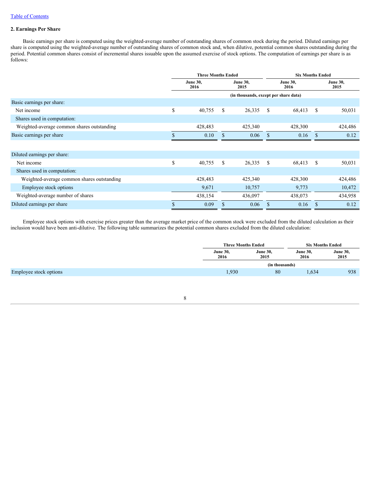# **2. Earnings Per Share**

Basic earnings per share is computed using the weighted-average number of outstanding shares of common stock during the period. Diluted earnings per share is computed using the weighted-average number of outstanding shares of common stock and, when dilutive, potential common shares outstanding during the period. Potential common shares consist of incremental shares issuable upon the assumed exercise of stock options. The computation of earnings per share is as follows:

|                                            | <b>Three Months Ended</b> |               |                                       | <b>Six Months Ended</b> |                         |      |                         |  |
|--------------------------------------------|---------------------------|---------------|---------------------------------------|-------------------------|-------------------------|------|-------------------------|--|
|                                            | <b>June 30,</b><br>2016   |               | <b>June 30,</b><br>2015               |                         | <b>June 30,</b><br>2016 |      | <b>June 30,</b><br>2015 |  |
|                                            |                           |               | (in thousands, except per share data) |                         |                         |      |                         |  |
| Basic earnings per share:                  |                           |               |                                       |                         |                         |      |                         |  |
| Net income                                 | \$<br>40,755              | <sup>\$</sup> | 26,335                                | -S                      | 68,413                  | -S   | 50,031                  |  |
| Shares used in computation:                |                           |               |                                       |                         |                         |      |                         |  |
| Weighted-average common shares outstanding | 428,483                   |               | 425,340                               |                         | 428,300                 |      | 424,486                 |  |
| Basic earnings per share                   | 0.10                      |               | 0.06                                  |                         | $0.16$ \$               |      | 0.12                    |  |
|                                            |                           |               |                                       |                         |                         |      |                         |  |
| Diluted earnings per share:                |                           |               |                                       |                         |                         |      |                         |  |
| Net income                                 | \$<br>40,755              | <sup>S</sup>  | 26,335                                | <sup>\$</sup>           | 68,413 \$               |      | 50,031                  |  |
| Shares used in computation:                |                           |               |                                       |                         |                         |      |                         |  |
| Weighted-average common shares outstanding | 428,483                   |               | 425,340                               |                         | 428,300                 |      | 424,486                 |  |
| Employee stock options                     | 9,671                     |               | 10,757                                |                         | 9,773                   |      | 10,472                  |  |
| Weighted-average number of shares          | 438,154                   |               | 436,097                               |                         | 438,073                 |      | 434,958                 |  |
| Diluted earnings per share                 | 0.09                      |               | 0.06                                  | - 75                    | 0.16                    | - 85 | 0.12                    |  |
|                                            |                           |               |                                       |                         |                         |      |                         |  |

Employee stock options with exercise prices greater than the average market price of the common stock were excluded from the diluted calculation as their inclusion would have been anti-dilutive. The following table summarizes the potential common shares excluded from the diluted calculation:

|                        | <b>Three Months Ended</b> |                         | <b>Six Months Ended</b> |                         |  |  |
|------------------------|---------------------------|-------------------------|-------------------------|-------------------------|--|--|
|                        | June 30,<br>2016          | <b>June 30,</b><br>2015 | June 30,<br>2016        | <b>June 30,</b><br>2015 |  |  |
|                        |                           | (in thousands)          |                         |                         |  |  |
| Employee stock options | 1,930                     | 80                      | 1,634                   | 938                     |  |  |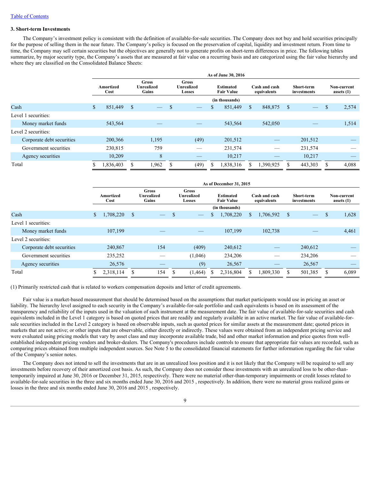# **3. Short-term Investments**

The Company's investment policy is consistent with the definition of available-for-sale securities. The Company does not buy and hold securities principally for the purpose of selling them in the near future. The Company's policy is focused on the preservation of capital, liquidity and investment return. From time to time, the Company may sell certain securities but the objectives are generally not to generate profits on short-term differences in price. The following tables summarize, by major security type, the Company's assets that are measured at fair value on a recurring basis and are categorized using the fair value hierarchy and where they are classified on the Consolidated Balance Sheets:

|                           |                   |     |                               |                                             | As of June 30, 2016                   |                              |                                 |                                 |
|---------------------------|-------------------|-----|-------------------------------|---------------------------------------------|---------------------------------------|------------------------------|---------------------------------|---------------------------------|
|                           | Amortized<br>Cost |     | Gross<br>Unrealized<br>Gains  | Gross<br><b>Unrealized</b><br><b>Losses</b> | <b>Estimated</b><br><b>Fair Value</b> | Cash and cash<br>equivalents | Short-term<br>investments       | Non-current<br>assets (1)       |
|                           |                   |     |                               |                                             | (in thousands)                        |                              |                                 |                                 |
| Cash                      | 851,449 \$        |     | $-$ \$                        | <b>Contract Contract Contract</b>           | 851,449                               | 848,875                      | $\overline{\phantom{a}}$        | 2,574                           |
| Level 1 securities:       |                   |     |                               |                                             |                                       |                              |                                 |                                 |
| Money market funds        | 543,564           |     | $\overbrace{\phantom{aaaaa}}$ |                                             | 543,564                               | 542,050                      | $\hspace{0.1mm}-\hspace{0.1mm}$ | 1,514                           |
| Level 2 securities:       |                   |     |                               |                                             |                                       |                              |                                 |                                 |
| Corporate debt securities | 200,366           |     | 1,195                         | (49)                                        | 201,512                               | $\overline{\phantom{m}}$     | 201,512                         | $\overline{\phantom{m}}$        |
| Government securities     | 230,815           |     | 759                           | $\hspace{0.1mm}-\hspace{0.1mm}$             | 231,574                               | $\overline{\phantom{m}}$     | 231,574                         | $\hspace{0.1mm}-\hspace{0.1mm}$ |
| Agency securities         | 10,209            |     |                               | $\overline{\phantom{m}}$                    | 10,217                                | $\overline{\phantom{m}}$     | 10,217                          | $\overbrace{\hspace{25mm}}^{}$  |
| Total                     | 1,836,403         | - 8 | 1,962                         | (49)                                        | 1,838,316                             | 1,390,925                    | 443,303                         | 4,088                           |

|                           |                   |                              |                                 |                                      | As of December 31, 2015               |                                 |                           |                          |                               |
|---------------------------|-------------------|------------------------------|---------------------------------|--------------------------------------|---------------------------------------|---------------------------------|---------------------------|--------------------------|-------------------------------|
|                           | Amortized<br>Cost | Gross<br>Unrealized<br>Gains |                                 | Gross<br><b>Unrealized</b><br>Losses | <b>Estimated</b><br><b>Fair Value</b> | Cash and cash<br>equivalents    | Short-term<br>investments |                          | Non-current<br>assets $(1)$   |
|                           |                   |                              |                                 |                                      | (in thousands)                        |                                 |                           |                          |                               |
| Cash                      | 1,708,220         |                              | $\overline{\phantom{a}}$        | $\frac{1}{2}$                        | ,708,220                              | 1,706,592                       |                           | $\overline{\phantom{a}}$ | 1,628                         |
| Level 1 securities:       |                   |                              |                                 |                                      |                                       |                                 |                           |                          |                               |
| Money market funds        | 107,199           |                              |                                 | $\overline{\phantom{m}}$             | 107,199                               | 102,738                         |                           | $\hspace{0.05cm}$        | 4,461                         |
| Level 2 securities:       |                   |                              |                                 |                                      |                                       |                                 |                           |                          |                               |
| Corporate debt securities | 240,867           |                              | 154                             | (409)                                | 240,612                               | $\hspace{0.1mm}-\hspace{0.1mm}$ | 240,612                   |                          | $\overline{\phantom{a}}$      |
| Government securities     | 235,252           |                              | $\hspace{0.1mm}-\hspace{0.1mm}$ | (1,046)                              | 234,206                               | $\hspace{0.1mm}-\hspace{0.1mm}$ | 234,206                   |                          | $\overbrace{\phantom{13333}}$ |
| Agency securities         | 26,576            |                              | $\overline{\phantom{a}}$        | (9)                                  | 26,567                                | $\overline{\phantom{m}}$        | 26,567                    |                          |                               |
| Total                     | 2,318,114         | - 8                          | 154                             | (1, 464)                             | 2,316,804<br>$\mathcal{P}$            | 1,809,330                       | 501,385                   |                          | 6,089                         |

(1) Primarily restricted cash that is related to workers compensation deposits and letter of credit agreements.

Fair value is a market-based measurement that should be determined based on the assumptions that market participants would use in pricing an asset or liability. The hierarchy level assigned to each security in the Company's available-for-sale portfolio and cash equivalents is based on its assessment of the transparency and reliability of the inputs used in the valuation of such instrument at the measurement date. The fair value of available-for-sale securities and cash equivalents included in the Level 1 category is based on quoted prices that are readily and regularly available in an active market. The fair value of available-forsale securities included in the Level 2 category is based on observable inputs, such as quoted prices for similar assets at the measurement date; quoted prices in markets that are not active; or other inputs that are observable, either directly or indirectly. These values were obtained from an independent pricing service and were evaluated using pricing models that vary by asset class and may incorporate available trade, bid and other market information and price quotes from wellestablished independent pricing vendors and broker-dealers. The Company's procedures include controls to ensure that appropriate fair values are recorded, such as comparing prices obtained from multiple independent sources. See Note 5 to the consolidated financial statements for further information regarding the fair value of the Company's senior notes.

The Company does not intend to sell the investments that are in an unrealized loss position and it is not likely that the Company will be required to sell any investments before recovery of their amortized cost basis. As such, the Company does not consider those investments with an unrealized loss to be other-thantemporarily impaired at June 30, 2016 or December 31, 2015, respectively. There were no material other-than-temporary impairments or credit losses related to available-for-sale securities in the three and six months ended June 30, 2016 and 2015 , respectively. In addition, there were no material gross realized gains or losses in the three and six months ended June 30, 2016 and 2015 , respectively.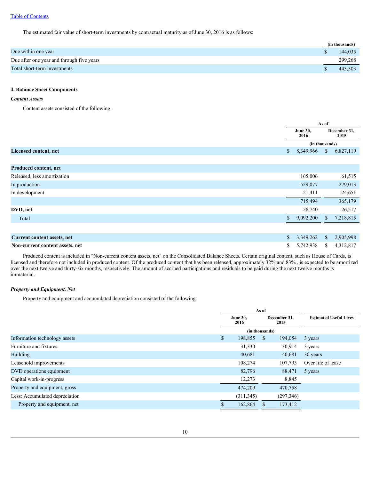The estimated fair value of short-term investments by contractual maturity as of June 30, 2016 is as follows:

|                                           | (in thousands) |
|-------------------------------------------|----------------|
| Due within one year                       | 144,035        |
| Due after one year and through five years | 299,268        |
| Total short-term investments              | 443,303        |
|                                           |                |

# **4. Balance Sheet Components**

# *Content Assets*

Content assets consisted of the following:

|                                 |              |                         | As of          |                      |  |  |
|---------------------------------|--------------|-------------------------|----------------|----------------------|--|--|
|                                 |              | <b>June 30,</b><br>2016 |                | December 31,<br>2015 |  |  |
|                                 |              |                         | (in thousands) |                      |  |  |
| Licensed content, net           | $\mathbb{S}$ | 8,349,966               | $\mathbb{S}$   | 6,827,119            |  |  |
|                                 |              |                         |                |                      |  |  |
| Produced content, net           |              |                         |                |                      |  |  |
| Released, less amortization     |              | 165,006                 |                | 61,515               |  |  |
| In production                   |              | 529,077                 |                | 279,013              |  |  |
| In development                  |              | 21,411                  |                | 24,651               |  |  |
|                                 |              | 715,494                 |                | 365,179              |  |  |
| DVD, net                        |              | 26,740                  |                | 26,517               |  |  |
| Total                           |              | 9,092,200               |                | 7,218,815            |  |  |
|                                 |              |                         |                |                      |  |  |
| Current content assets, net     | \$.          | 3,349,262               | $\mathcal{S}$  | 2,905,998            |  |  |
| Non-current content assets, net | \$           | 5,742,938               | Y.             | 4,312,817            |  |  |

Produced content is included in "Non-current content assets, net" on the Consolidated Balance Sheets. Certain original content, such as House of Cards, is licensed and therefore not included in produced content. Of the produced content that has been released, approximately 32% and 83% , is expected to be amortized over the next twelve and thirty-six months, respectively. The amount of accrued participations and residuals to be paid during the next twelve months is immaterial.

# *Property and Equipment, Net*

Property and equipment and accumulated depreciation consisted of the following:

|                                |    |                         | As of        |                      |                               |
|--------------------------------|----|-------------------------|--------------|----------------------|-------------------------------|
|                                |    | <b>June 30,</b><br>2016 |              | December 31,<br>2015 | <b>Estimated Useful Lives</b> |
|                                |    | (in thousands)          |              |                      |                               |
| Information technology assets  | D. | 198,855                 | <sup>S</sup> | 194,054              | 3 years                       |
| Furniture and fixtures         |    | 31,330                  |              | 30,914               | 3 years                       |
| <b>Building</b>                |    | 40,681                  |              | 40,681               | 30 years                      |
| Leasehold improvements         |    | 108,274                 |              | 107,793              | Over life of lease            |
| DVD operations equipment       |    | 82,796                  |              | 88,471               | 5 years                       |
| Capital work-in-progress       |    | 12,273                  |              | 8,845                |                               |
| Property and equipment, gross  |    | 474,209                 |              | 470,758              |                               |
| Less: Accumulated depreciation |    | (311, 345)              |              | (297, 346)           |                               |
| Property and equipment, net    |    | 162,864                 |              | 173,412              |                               |
|                                |    |                         |              |                      |                               |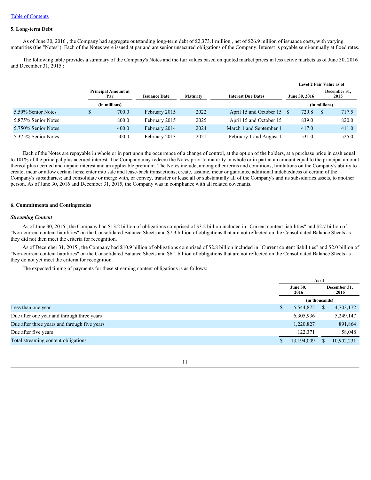# **5. Long-term Debt**

As of June 30, 2016 , the Company had aggregate outstanding long-term debt of \$2,373.1 million , net of \$26.9 million of issuance costs, with varying maturities (the "Notes"). Each of the Notes were issued at par and are senior unsecured obligations of the Company. Interest is payable semi-annually at fixed rates.

The following table provides a summary of the Company's Notes and the fair values based on quoted market prices in less active markets as of June 30, 2016 and December 31, 2015 :

|                     |                                   |                      |                 |                            |                      |               | Level 2 Fair Value as of |
|---------------------|-----------------------------------|----------------------|-----------------|----------------------------|----------------------|---------------|--------------------------|
|                     | <b>Principal Amount at</b><br>Par | <b>Issuance Date</b> | <b>Maturity</b> | <b>Interest Due Dates</b>  | <b>June 30, 2016</b> |               | December 31,<br>2015     |
|                     | (in millions)                     |                      |                 |                            |                      | (in millions) |                          |
| 5.50% Senior Notes  | 700.0                             | February 2015        | 2022            | April 15 and October 15 \$ | 729.8                |               | 717.5                    |
| 5.875% Senior Notes | 800.0                             | February 2015        | 2025            | April 15 and October 15    | 839.0                |               | 820.0                    |
| 5.750% Senior Notes | 400.0                             | February 2014        | 2024            | March 1 and September 1    | 417.0                |               | 411.0                    |
| 5.375% Senior Notes | 500.0                             | February 2013        | 2021            | February 1 and August 1    | 531.0                |               | 525.0                    |

Each of the Notes are repayable in whole or in part upon the occurrence of a change of control, at the option of the holders, at a purchase price in cash equal to 101% of the principal plus accrued interest. The Company may redeem the Notes prior to maturity in whole or in part at an amount equal to the principal amount thereof plus accrued and unpaid interest and an applicable premium. The Notes include, among other terms and conditions, limitations on the Company's ability to create, incur or allow certain liens; enter into sale and lease-back transactions; create, assume, incur or guarantee additional indebtedness of certain of the Company's subsidiaries; and consolidate or merge with, or convey, transfer or lease all or substantially all of the Company's and its subsidiaries assets, to another person. As of June 30, 2016 and December 31, 2015, the Company was in compliance with all related covenants.

#### **6. Commitments and Contingencies**

#### *Streaming Content*

As of June 30, 2016 , the Company had \$13.2 billion of obligations comprised of \$3.2 billion included in "Current content liabilities" and \$2.7 billion of "Non-current content liabilities" on the Consolidated Balance Sheets and \$7.3 billion of obligations that are not reflected on the Consolidated Balance Sheets as they did not then meet the criteria for recognition.

As of December 31, 2015 , the Company had \$10.9 billion of obligations comprised of \$2.8 billion included in "Current content liabilities" and \$2.0 billion of "Non-current content liabilities" on the Consolidated Balance Sheets and \$6.1 billion of obligations that are not reflected on the Consolidated Balance Sheets as they do not yet meet the criteria for recognition.

The expected timing of payments for these streaming content obligations is as follows:

|                                              |                         | As of                |            |
|----------------------------------------------|-------------------------|----------------------|------------|
|                                              | <b>June 30,</b><br>2016 | December 31,<br>2015 |            |
|                                              |                         | (in thousands)       |            |
| Less than one year                           | 5,544,875               |                      | 4,703,172  |
| Due after one year and through three years   | 6,305,936               |                      | 5,249,147  |
| Due after three years and through five years | 1,220,827               |                      | 891,864    |
| Due after five years                         | 122,371                 |                      | 58,048     |
| Total streaming content obligations          | 13,194,009              |                      | 10,902,231 |
|                                              |                         |                      |            |

11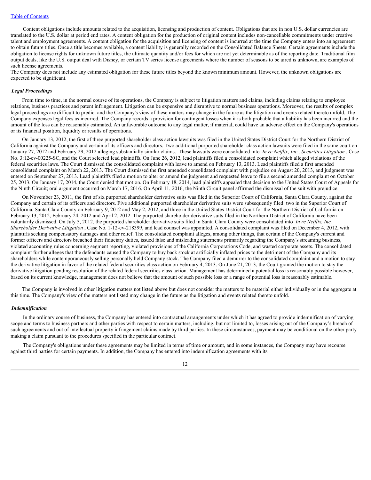Content obligations include amounts related to the acquisition, licensing and production of content. Obligations that are in non U.S. dollar currencies are translated to the U.S. dollar at period end rates. A content obligation for the production of original content includes non-cancellable commitments under creative talent and employment agreements. A content obligation for the acquisition and licensing of content is incurred at the time the Company enters into an agreement to obtain future titles. Once a title becomes available, a content liability is generally recorded on the Consolidated Balance Sheets. Certain agreements include the obligation to license rights for unknown future titles, the ultimate quantity and/or fees for which are not yet determinable as of the reporting date. Traditional film output deals, like the U.S. output deal with Disney, or certain TV series license agreements where the number of seasons to be aired is unknown, are examples of such license agreements.

The Company does not include any estimated obligation for these future titles beyond the known minimum amount. However, the unknown obligations are expected to be significant.

#### *Legal Proceedings*

From time to time, in the normal course of its operations, the Company is subject to litigation matters and claims, including claims relating to employee relations, business practices and patent infringement. Litigation can be expensive and disruptive to normal business operations. Moreover, the results of complex legal proceedings are difficult to predict and the Company's view of these matters may change in the future as the litigation and events related thereto unfold. The Company expenses legal fees as incurred. The Company records a provision for contingent losses when it is both probable that a liability has been incurred and the amount of the loss can be reasonably estimated. An unfavorable outcome to any legal matter, if material, could have an adverse effect on the Company's operations or its financial position, liquidity or results of operations.

On January 13, 2012, the first of three purported shareholder class action lawsuits was filed in the United States District Court for the Northern District of California against the Company and certain of its officers and directors. Two additional purported shareholder class action lawsuits were filed in the same court on January 27, 2012 and February 29, 2012 alleging substantially similar claims. These lawsuits were consolidated into *In re Netflix, Inc., Securities Litigation* , Case No. 3:12-cv-00225-SC, and the Court selected lead plaintiffs. On June 26, 2012, lead plaintiffs filed a consolidated complaint which alleged violations of the federal securities laws. The Court dismissed the consolidated complaint with leave to amend on February 13, 2013. Lead plaintiffs filed a first amended consolidated complaint on March 22, 2013. The Court dismissed the first amended consolidated complaint with prejudice on August 20, 2013, and judgment was entered on September 27, 2013. Lead plaintiffs filed a motion to alter or amend the judgment and requested leave to file a second amended complaint on October 25, 2013. On January 17, 2014, the Court denied that motion. On February 18, 2014, lead plaintiffs appealed that decision to the United States Court of Appeals for the Ninth Circuit; oral argument occurred on March 17, 2016. On April 11, 2016, the Ninth Circuit panel affirmed the dismissal of the suit with prejudice.

On November 23, 2011, the first of six purported shareholder derivative suits was filed in the Superior Court of California, Santa Clara County, against the Company and certain of its officers and directors. Five additional purported shareholder derivative suits were subsequently filed: two in the Superior Court of California, Santa Clara County on February 9, 2012 and May 2, 2012; and three in the United States District Court for the Northern District of California on February 13, 2012, February 24, 2012 and April 2, 2012. The purported shareholder derivative suits filed in the Northern District of California have been voluntarily dismissed. On July 5, 2012, the purported shareholder derivative suits filed in Santa Clara County were consolidated into *In re Netflix, Inc. Shareholder Derivative Litigation* , Case No. 1-12-cv-218399, and lead counsel was appointed. A consolidated complaint was filed on December 4, 2012, with plaintiffs seeking compensatory damages and other relief. The consolidated complaint alleges, among other things, that certain of the Company's current and former officers and directors breached their fiduciary duties, issued false and misleading statements primarily regarding the Company's streaming business, violated accounting rules concerning segment reporting, violated provisions of the California Corporations Code, and wasted corporate assets. The consolidated complaint further alleges that the defendants caused the Company to buy back stock at artificially inflated prices to the detriment of the Company and its shareholders while contemporaneously selling personally held Company stock. The Company filed a demurrer to the consolidated complaint and a motion to stay the derivative litigation in favor of the related federal securities class action on February 4, 2013. On June 21, 2013, the Court granted the motion to stay the derivative litigation pending resolution of the related federal securities class action. Management has determined a potential loss is reasonably possible however, based on its current knowledge, management does not believe that the amount of such possible loss or a range of potential loss is reasonably estimable.

The Company is involved in other litigation matters not listed above but does not consider the matters to be material either individually or in the aggregate at this time. The Company's view of the matters not listed may change in the future as the litigation and events related thereto unfold.

#### *Indemnification*

In the ordinary course of business, the Company has entered into contractual arrangements under which it has agreed to provide indemnification of varying scope and terms to business partners and other parties with respect to certain matters, including, but not limited to, losses arising out of the Company's breach of such agreements and out of intellectual property infringement claims made by third parties. In these circumstances, payment may be conditional on the other party making a claim pursuant to the procedures specified in the particular contract.

The Company's obligations under these agreements may be limited in terms of time or amount, and in some instances, the Company may have recourse against third parties for certain payments. In addition, the Company has entered into indemnification agreements with its

12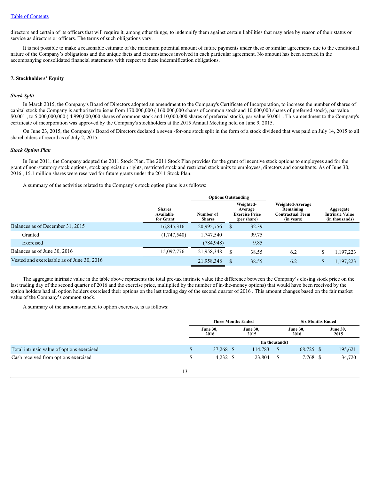directors and certain of its officers that will require it, among other things, to indemnify them against certain liabilities that may arise by reason of their status or service as directors or officers. The terms of such obligations vary.

It is not possible to make a reasonable estimate of the maximum potential amount of future payments under these or similar agreements due to the conditional nature of the Company's obligations and the unique facts and circumstances involved in each particular agreement. No amount has been accrued in the accompanying consolidated financial statements with respect to these indemnification obligations.

## **7. Stockholders' Equity**

# *Stock Split*

In March 2015, the Company's Board of Directors adopted an amendment to the Company's Certificate of Incorporation, to increase the number of shares of capital stock the Company is authorized to issue from 170,000,000 ( 160,000,000 shares of common stock and 10,000,000 shares of preferred stock), par value \$0.001 , to 5,000,000,000 ( 4,990,000,000 shares of common stock and 10,000,000 shares of preferred stock), par value \$0.001 . This amendment to the Company's certificate of incorporation was approved by the Company's stockholders at the 2015 Annual Meeting held on June 9, 2015.

On June 23, 2015, the Company's Board of Directors declared a seven -for-one stock split in the form of a stock dividend that was paid on July 14, 2015 to all shareholders of record as of July 2, 2015.

#### *Stock Option Plan*

In June 2011, the Company adopted the 2011 Stock Plan. The 2011 Stock Plan provides for the grant of incentive stock options to employees and for the grant of non-statutory stock options, stock appreciation rights, restricted stock and restricted stock units to employees, directors and consultants. As of June 30, 2016 , 15.1 million shares were reserved for future grants under the 2011 Stock Plan.

A summary of the activities related to the Company's stock option plans is as follows:

|                                            |                                         | <b>Options Outstanding</b> |                                                              |                                                                        |                                                       |
|--------------------------------------------|-----------------------------------------|----------------------------|--------------------------------------------------------------|------------------------------------------------------------------------|-------------------------------------------------------|
|                                            | <b>Shares</b><br>Available<br>for Grant | Number of<br><b>Shares</b> | Weighted-<br>Average<br><b>Exercise Price</b><br>(per share) | Weighted-Average<br>Remaining<br><b>Contractual Term</b><br>(in years) | Aggregate<br><b>Intrinsic Value</b><br>(in thousands) |
| Balances as of December 31, 2015           | 16,845,316                              | 20,995,756                 | 32.39                                                        |                                                                        |                                                       |
| Granted                                    | (1,747,540)                             | 1,747,540                  | 99.75                                                        |                                                                        |                                                       |
| Exercised                                  |                                         | (784, 948)                 | 9.85                                                         |                                                                        |                                                       |
| Balances as of June 30, 2016               | 15,097,776                              | 21,958,348                 | 38.55                                                        | 6.2                                                                    | 1,197,223                                             |
| Vested and exercisable as of June 30, 2016 |                                         | 21,958,348                 | 38.55                                                        | 6.2                                                                    | 1,197,223                                             |

The aggregate intrinsic value in the table above represents the total pre-tax intrinsic value (the difference between the Company's closing stock price on the last trading day of the second quarter of 2016 and the exercise price, multiplied by the number of in-the-money options) that would have been received by the option holders had all option holders exercised their options on the last trading day of the second quarter of 2016 . This amount changes based on the fair market value of the Company's common stock.

A summary of the amounts related to option exercises, is as follows:

|                                            | <b>Three Months Ended</b> |                         |                | <b>Six Months Ended</b> |                         |
|--------------------------------------------|---------------------------|-------------------------|----------------|-------------------------|-------------------------|
|                                            | <b>June 30,</b><br>2016   | <b>June 30,</b><br>2015 |                | <b>June 30,</b><br>2016 | <b>June 30,</b><br>2015 |
|                                            |                           |                         | (in thousands) |                         |                         |
| Total intrinsic value of options exercised | 37,268 \$                 | $114,783$ \$            |                | 68,725 \$               | 195,621                 |
| Cash received from options exercised       | $4,232$ \$                | 23,804                  |                | 7,768 \$                | 34,720                  |
|                                            |                           |                         |                |                         |                         |

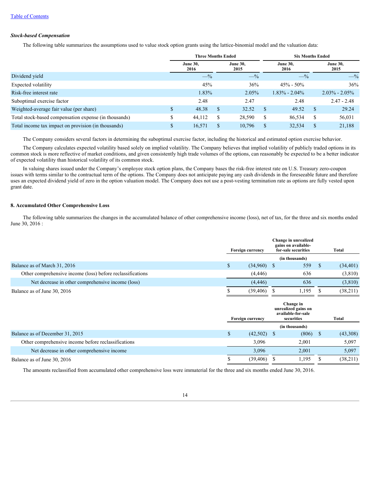# Table of Contents

## *Stock-based Compensation*

The following table summarizes the assumptions used to value stock option grants using the lattice-binomial model and the valuation data:

|                                                       |                         | <b>Three Months Ended</b> |                         | <b>Six Months Ended</b> |                         |
|-------------------------------------------------------|-------------------------|---------------------------|-------------------------|-------------------------|-------------------------|
|                                                       | <b>June 30,</b><br>2016 |                           | <b>June 30,</b><br>2015 | <b>June 30,</b><br>2016 | <b>June 30,</b><br>2015 |
| Dividend yield                                        | $-$ %                   |                           | $-$ %                   | $-$ %                   | $-$ %                   |
| Expected volatility                                   | 45%                     |                           | 36%                     | $45\% - 50\%$           | 36%                     |
| Risk-free interest rate                               | 1.83%                   |                           | 2.05%                   | $1.83\% - 2.04\%$       | $2.03\% - 2.05\%$       |
| Suboptimal exercise factor                            | 2.48                    |                           | 2.47                    | 2.48                    | $2.47 - 2.48$           |
| Weighted-average fair value (per share)               | 48.38                   |                           | 32.52                   | 49.52                   | 29.24                   |
| Total stock-based compensation expense (in thousands) | 44,112                  |                           | 28,590                  | 86,534                  | 56,031                  |
| Total income tax impact on provision (in thousands)   | 16,571                  |                           | 10,796                  | 32,534                  | 21,188                  |

The Company considers several factors in determining the suboptimal exercise factor, including the historical and estimated option exercise behavior.

The Company calculates expected volatility based solely on implied volatility. The Company believes that implied volatility of publicly traded options in its common stock is more reflective of market conditions, and given consistently high trade volumes of the options, can reasonably be expected to be a better indicator of expected volatility than historical volatility of its common stock.

In valuing shares issued under the Company's employee stock option plans, the Company bases the risk-free interest rate on U.S. Treasury zero-coupon issues with terms similar to the contractual term of the options. The Company does not anticipate paying any cash dividends in the foreseeable future and therefore uses an expected dividend yield of zero in the option valuation model. The Company does not use a post-vesting termination rate as options are fully vested upon grant date.

### **8. Accumulated Other Comprehensive Loss**

The following table summarizes the changes in the accumulated balance of other comprehensive income (loss), net of tax, for the three and six months ended June 30, 2016 :

|                                                            | <b>Foreign currency</b> | Change in unrealized<br>gains on available-<br>for-sale securities | <b>Total</b> |
|------------------------------------------------------------|-------------------------|--------------------------------------------------------------------|--------------|
|                                                            |                         | (in thousands)                                                     |              |
| Balance as of March 31, 2016                               | (34,960)                | 559                                                                | (34, 401)    |
| Other comprehensive income (loss) before reclassifications | (4, 446)                | 636                                                                | (3, 810)     |
| Net decrease in other comprehensive income (loss)          | (4, 446)                | 636                                                                | (3,810)      |
| Balance as of June 30, 2016                                | (39, 406)               | . 195                                                              | (38,211)     |

|                                                     | <b>Foreign currency</b> | Change in<br>unrealized gains on<br>available-for-sale<br>securities<br>(in thousands) | Total    |
|-----------------------------------------------------|-------------------------|----------------------------------------------------------------------------------------|----------|
|                                                     |                         |                                                                                        |          |
| Balance as of December 31, 2015                     | $(42,502)$ \$           | $(806)$ \$                                                                             | (43,308) |
| Other comprehensive income before reclassifications | 3,096                   | 2,001                                                                                  | 5,097    |
| Net decrease in other comprehensive income          | 3,096                   | 2,001                                                                                  | 5,097    |
| Balance as of June 30, 2016                         | $(39,406)$ \$           | 1,195                                                                                  | (38,211) |
|                                                     |                         |                                                                                        |          |

The amounts reclassified from accumulated other comprehensive loss were immaterial for the three and six months ended June 30, 2016.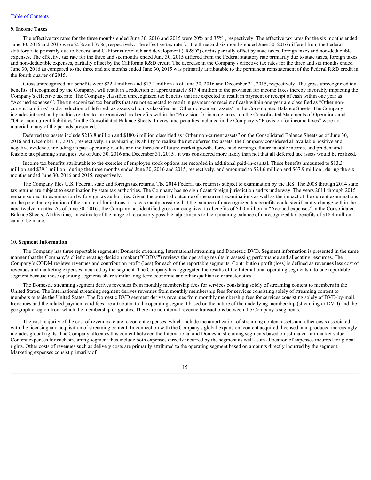# **9. Income Taxes**

The effective tax rates for the three months ended June 30, 2016 and 2015 were 20% and 35% , respectively. The effective tax rates for the six months ended June 30, 2016 and 2015 were 25% and 37% , respectively. The effective tax rate for the three and six months ended June 30, 2016 differed from the Federal statutory rate primarily due to Federal and California research and development ("R&D") credits partially offset by state taxes, foreign taxes and non-deductible expenses. The effective tax rate for the three and six months ended June 30, 2015 differed from the Federal statutory rate primarily due to state taxes, foreign taxes and non-deductible expenses, partially offset by the California R&D credit. The decrease in the Company's effective tax rates for the three and six months ended June 30, 2016 as compared to the three and six months ended June 30, 2015 was primarily attributable to the permanent reinstatement of the Federal R&D credit in the fourth quarter of 2015.

Gross unrecognized tax benefits were \$22.4 million and \$17.1 million as of June 30, 2016 and December 31, 2015, respectively. The gross unrecognized tax benefits, if recognized by the Company, will result in a reduction of approximately \$17.4 million to the provision for income taxes thereby favorably impacting the Company's effective tax rate. The Company classified unrecognized tax benefits that are expected to result in payment or receipt of cash within one year as "Accrued expenses". The unrecognized tax benefits that are not expected to result in payment or receipt of cash within one year are classified as "Other noncurrent liabilities" and a reduction of deferred tax assets which is classified as "Other non-current assets" in the Consolidated Balance Sheets. The Company includes interest and penalties related to unrecognized tax benefits within the "Provision for income taxes" on the Consolidated Statements of Operations and "Other non-current liabilities" in the Consolidated Balance Sheets. Interest and penalties included in the Company's "Provision for income taxes" were not material in any of the periods presented.

Deferred tax assets include \$213.8 million and \$180.6 million classified as "Other non-current assets" on the Consolidated Balance Sheets as of June 30, 2016 and December 31, 2015 , respectively. In evaluating its ability to realize the net deferred tax assets, the Company considered all available positive and negative evidence, including its past operating results and the forecast of future market growth, forecasted earnings, future taxable income, and prudent and feasible tax planning strategies. As of June 30, 2016 and December 31, 2015 , it was considered more likely than not that all deferred tax assets would be realized.

Income tax benefits attributable to the exercise of employee stock options are recorded in additional paid-in-capital. These benefits amounted to \$13.3 million and \$39.1 million, during the three months ended June 30, 2016 and 2015, respectively, and amounted to \$24.6 million and \$67.9 million, during the six months ended June 30, 2016 and 2015, respectively.

The Company files U.S. Federal, state and foreign tax returns. The 2014 Federal tax return is subject to examination by the IRS. The 2008 through 2014 state tax returns are subject to examination by state tax authorities. The Company has no significant foreign jurisdiction audits underway. The years 2011 through 2015 remain subject to examination by foreign tax authorities. Given the potential outcome of the current examinations as well as the impact of the current examinations on the potential expiration of the statute of limitations, it is reasonably possible that the balance of unrecognized tax benefits could significantly change within the next twelve months. As of June 30, 2016 , the Company has identified gross unrecognized tax benefits of \$4.0 million in "Accrued expenses" in the Consolidated Balance Sheets. At this time, an estimate of the range of reasonably possible adjustments to the remaining balance of unrecognized tax benefits of \$18.4 million cannot be made.

#### **10. Segment Information**

The Company has three reportable segments: Domestic streaming, International streaming and Domestic DVD. Segment information is presented in the same manner that the Company's chief operating decision maker ("CODM") reviews the operating results in assessing performance and allocating resources. The Company's CODM reviews revenues and contribution profit (loss) for each of the reportable segments. Contribution profit (loss) is defined as revenues less cost of revenues and marketing expenses incurred by the segment. The Company has aggregated the results of the International operating segments into one reportable segment because these operating segments share similar long-term economic and other qualitative characteristics.

The Domestic streaming segment derives revenues from monthly membership fees for services consisting solely of streaming content to members in the United States. The International streaming segment derives revenues from monthly membership fees for services consisting solely of streaming content to members outside the United States. The Domestic DVD segment derives revenues from monthly membership fees for services consisting solely of DVD-by-mail. Revenues and the related payment card fees are attributed to the operating segment based on the nature of the underlying membership (streaming or DVD) and the geographic region from which the membership originates. There are no internal revenue transactions between the Company's segments.

The vast majority of the cost of revenues relate to content expenses, which include the amortization of streaming content assets and other costs associated with the licensing and acquisition of streaming content. In connection with the Company's global expansion, content acquired, licensed, and produced increasingly includes global rights. The Company allocates this content between the International and Domestic streaming segments based on estimated fair market value. Content expenses for each streaming segment thus include both expenses directly incurred by the segment as well as an allocation of expenses incurred for global rights. Other costs of revenues such as delivery costs are primarily attributed to the operating segment based on amounts directly incurred by the segment. Marketing expenses consist primarily of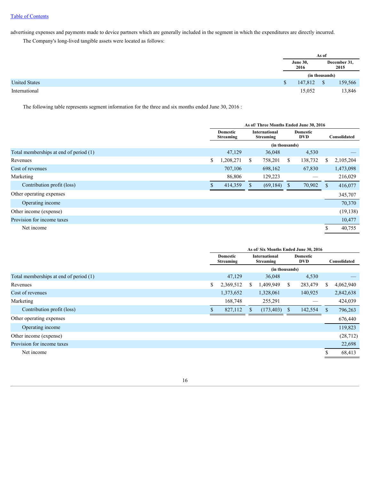# Table of Contents

advertising expenses and payments made to device partners which are generally included in the segment in which the expenditures are directly incurred.

The Company's long-lived tangible assets were located as follows:

|                      |                  | As of          |                      |
|----------------------|------------------|----------------|----------------------|
|                      | June 30,<br>2016 |                | December 31,<br>2015 |
|                      |                  | (in thousands) |                      |
| <b>United States</b> | 147,812          |                | 159,566              |
| International        | 15,052           |                | 13,846               |

The following table represents segment information for the three and six months ended June 30, 2016 :

|                                        |                              |          |                            |                |      | As of/ Three Months Ended June 30, 2016 |              |
|----------------------------------------|------------------------------|----------|----------------------------|----------------|------|-----------------------------------------|--------------|
|                                        | Domestic<br><b>Streaming</b> |          | International<br>Streaming |                |      | <b>Domestic</b><br><b>DVD</b>           | Consolidated |
|                                        |                              |          |                            | (in thousands) |      |                                         |              |
| Total memberships at end of period (1) |                              | 47,129   |                            | 36,048         |      | 4,530                                   |              |
| Revenues                               |                              | ,208,271 | - S                        | 758,201        |      | 138,732                                 | 2,105,204    |
| Cost of revenues                       |                              | 707,106  |                            | 698,162        |      | 67,830                                  | 1,473,098    |
| Marketing                              |                              | 86,806   |                            | 129,223        |      | $\overline{\phantom{m}}$                | 216,029      |
| Contribution profit (loss)             |                              | 414,359  |                            | (69, 184)      | - 35 | 70,902                                  | 416,077      |
| Other operating expenses               |                              |          |                            |                |      |                                         | 345,707      |
| Operating income                       |                              |          |                            |                |      |                                         | 70,370       |
| Other income (expense)                 |                              |          |                            |                |      |                                         | (19, 138)    |
| Provision for income taxes             |                              |          |                            |                |      |                                         | 10,477       |
| Net income                             |                              |          |                            |                |      |                                         | 40,755       |

|                                        |                              | As of/Six Months Ended June 30, 2016 |      |                          |    |              |
|----------------------------------------|------------------------------|--------------------------------------|------|--------------------------|----|--------------|
|                                        | Domestic<br><b>Streaming</b> | International<br><b>Streaming</b>    |      | Domestic<br><b>DVD</b>   |    | Consolidated |
|                                        |                              | (in thousands)                       |      |                          |    |              |
| Total memberships at end of period (1) | 47,129                       | 36,048                               |      | 4,530                    |    |              |
| Revenues                               | 2,369,512                    | 1,409,949                            | - 75 | 283,479                  | -S | 4,062,940    |
| Cost of revenues                       | 1,373,652                    | 1,328,061                            |      | 140,925                  |    | 2,842,638    |
| Marketing                              | 168,748                      | 255,291                              |      | $\overline{\phantom{a}}$ |    | 424,039      |
| Contribution profit (loss)             | 827,112                      | $(173, 403)$ \$                      |      | 142,554                  |    | 796,263      |
| Other operating expenses               |                              |                                      |      |                          |    | 676,440      |
| Operating income                       |                              |                                      |      |                          |    | 119,823      |
| Other income (expense)                 |                              |                                      |      |                          |    | (28, 712)    |
| Provision for income taxes             |                              |                                      |      |                          |    | 22,698       |
| Net income                             |                              |                                      |      |                          |    | 68,413       |
|                                        |                              |                                      |      |                          |    |              |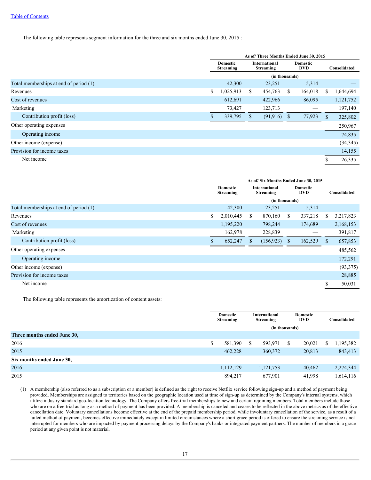The following table represents segment information for the three and six months ended June 30, 2015 :

|                                        |                       |                            |      | As of/ Three Months Ended June 30, 2015 |              |
|----------------------------------------|-----------------------|----------------------------|------|-----------------------------------------|--------------|
|                                        | Domestic<br>Streaming | International<br>Streaming |      | Domestic<br><b>DVD</b>                  | Consolidated |
|                                        |                       | (in thousands)             |      |                                         |              |
| Total memberships at end of period (1) | 42,300                | 23,251                     |      | 5,314                                   |              |
| Revenues                               | $1,025,913$ \$        | 454,763                    | - \$ | 164,018                                 | 1,644,694    |
| Cost of revenues                       | 612,691               | 422,966                    |      | 86,095                                  | 1,121,752    |
| Marketing                              | 73,427                | 123,713                    |      | $\hspace{0.1mm}-\hspace{0.1mm}$         | 197,140      |
| Contribution profit (loss)             | 339,795               | $(91,916)$ \$              |      | 77,923                                  | 325,802      |
| Other operating expenses               |                       |                            |      |                                         | 250,967      |
| Operating income                       |                       |                            |      |                                         | 74,835       |
| Other income (expense)                 |                       |                            |      |                                         | (34, 345)    |
| Provision for income taxes             |                       |                            |      |                                         | 14,155       |
| Net income                             |                       |                            |      |                                         | 26,335       |

| As of/Six Months Ended June 30, 2015 |           |                              |              |                            |                                 |                                   |                   |  |
|--------------------------------------|-----------|------------------------------|--------------|----------------------------|---------------------------------|-----------------------------------|-------------------|--|
|                                      |           |                              |              |                            | <b>DVD</b>                      |                                   | Consolidated      |  |
|                                      |           |                              |              |                            |                                 |                                   |                   |  |
|                                      | 42,300    |                              | 23,251       |                            | 5,314                           |                                   | $\hspace{0.05cm}$ |  |
|                                      |           |                              | 870,160      | - 8                        | 337,218                         |                                   | 3,217,823         |  |
|                                      | 1,195,220 |                              | 798,244      |                            | 174,689                         |                                   | 2,168,153         |  |
|                                      | 162,978   |                              | 228,839      |                            | $\hspace{0.1mm}-\hspace{0.1mm}$ |                                   | 391,817           |  |
|                                      | 652,247   |                              |              |                            | 162,529                         |                                   | 657,853           |  |
|                                      |           |                              |              |                            |                                 |                                   | 485,562           |  |
|                                      |           |                              |              |                            |                                 |                                   | 172,291           |  |
|                                      |           |                              |              |                            |                                 |                                   | (93, 375)         |  |
|                                      |           |                              |              |                            |                                 |                                   | 28,885            |  |
|                                      |           |                              |              |                            |                                 |                                   | 50,031            |  |
|                                      |           | Domestic<br><b>Streaming</b> | 2,010,445 \$ | International<br>Streaming | (156, 923)                      | <b>Domestic</b><br>(in thousands) |                   |  |

The following table represents the amortization of content assets:

|                             |  | <b>Domestic</b><br><b>Streaming</b> |              | International<br><b>Streaming</b> |    | Domestic<br><b>DVD</b> |  | Consolidated |  |
|-----------------------------|--|-------------------------------------|--------------|-----------------------------------|----|------------------------|--|--------------|--|
|                             |  |                                     |              | (in thousands)                    |    |                        |  |              |  |
| Three months ended June 30, |  |                                     |              |                                   |    |                        |  |              |  |
| 2016                        |  | 581,390                             | <sup>S</sup> | 593,971                           | -S | 20,021                 |  | ,195,382     |  |
| 2015                        |  | 462,228                             |              | 360,372                           |    | 20,813                 |  | 843,413      |  |
| Six months ended June 30,   |  |                                     |              |                                   |    |                        |  |              |  |
| 2016                        |  | 1,112,129                           |              | 1,121,753                         |    | 40,462                 |  | 2,274,344    |  |
| 2015                        |  | 894,217                             |              | 677,901                           |    | 41,998                 |  | 1,614,116    |  |
|                             |  |                                     |              |                                   |    |                        |  |              |  |

(1) A membership (also referred to as a subscription or a member) is defined as the right to receive Netflix service following sign-up and a method of payment being provided. Memberships are assigned to territories based on the geographic location used at time of sign-up as determined by the Company's internal systems, which utilize industry standard geo-location technology. The Company offers free-trial memberships to new and certain rejoining members. Total members include those who are on a free-trial as long as a method of payment has been provided. A membership is canceled and ceases to be reflected in the above metrics as of the effective cancellation date. Voluntary cancellations become effective at the end of the prepaid membership period, while involuntary cancellation of the service, as a result of a failed method of payment, becomes effective immediately except in limited circumstances where a short grace period is offered to ensure the streaming service is not interrupted for members who are impacted by payment processing delays by the Company's banks or integrated payment partners. The number of members in a grace period at any given point is not material.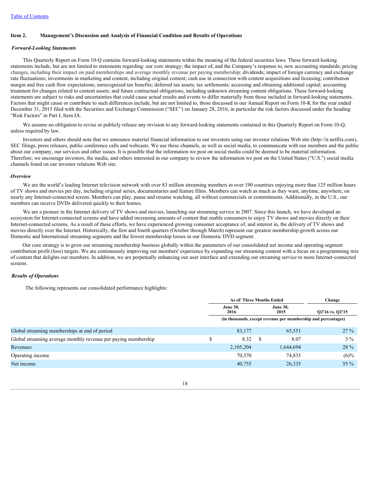#### **Item 2. Management's Discussion and Analysis of Financial Condition and Results of Operations**

#### *Forward-Looking Statements*

This Quarterly Report on Form 10-Q contains forward-looking statements within the meaning of the federal securities laws. These forward-looking statements include, but are not limited to statements regarding: our core strategy; the impact of, and the Company's response to, new accounting standards; pricing changes, including their impact on paid memberships and average monthly revenue per paying membership; dividends; impact of foreign currency and exchange rate fluctuations; investments in marketing and content, including original content; cash use in connection with content acquisitions and licensing; contribution margin and free cash flow expectations; unrecognized tax benefits; deferred tax assets; tax settlements; accessing and obtaining additional capital; accounting treatment for changes related to content assets; and future contractual obligations, including unknown streaming content obligations. These forward-looking statements are subject to risks and uncertainties that could cause actual results and events to differ materially from those included in forward-looking statements. Factors that might cause or contribute to such differences include, but are not limited to, those discussed in our Annual Report on Form 10-K for the year ended December 31, 2015 filed with the Securities and Exchange Commission ("SEC") on January 28, 2016, in particular the risk factors discussed under the heading "Risk Factors" in Part I, Item IA.

We assume no obligation to revise or publicly release any revision to any forward-looking statements contained in this Quarterly Report on Form 10-Q. unless required by law.

Investors and others should note that we announce material financial information to our investors using our investor relations Web site (http://ir.netflix.com), SEC filings, press releases, public conference calls and webcasts. We use these channels, as well as social media, to communicate with our members and the public about our company, our services and other issues. It is possible that the information we post on social media could be deemed to be material information. Therefore, we encourage investors, the media, and others interested in our company to review the information we post on the United States ("U.S.") social media channels listed on our investor relations Web site.

#### *Overview*

We are the world's leading Internet television network with over 83 million streaming members in over 190 countries enjoying more than 125 million hours of TV shows and movies per day, including original series, documentaries and feature films. Members can watch as much as they want, anytime, anywhere, on nearly any Internet-connected screen. Members can play, pause and resume watching, all without commercials or commitments. Additionally, in the U.S., our members can receive DVDs delivered quickly to their homes.

We are a pioneer in the Internet delivery of TV shows and movies, launching our streaming service in 2007. Since this launch, we have developed an ecosystem for Internet-connected screens and have added increasing amounts of content that enable consumers to enjoy TV shows and movies directly on their Internet-connected screens. As a result of these efforts, we have experienced growing consumer acceptance of, and interest in, the delivery of TV shows and movies directly over the Internet. Historically, the first and fourth quarters (October through March) represent our greatest membership growth across our Domestic and International streaming segments and the fewest membership losses in our Domestic DVD segment.

Our core strategy is to grow our streaming membership business globally within the parameters of our consolidated net income and operating segment contribution profit (loss) targets. We are continuously improving our members' experience by expanding our streaming content with a focus on a programming mix of content that delights our members. In addition, we are perpetually enhancing our user interface and extending our streaming service to more Internet-connected screens.

# *Results of Operations*

The following represents our consolidated performance highlights:

|                                                                |                         | As of/ Three Months Ended | Change                                                        |
|----------------------------------------------------------------|-------------------------|---------------------------|---------------------------------------------------------------|
|                                                                | <b>June 30,</b><br>2016 | June 30,<br>2015          | Q2'16 vs. Q2'15                                               |
|                                                                |                         |                           | (in thousands, except revenue per membership and percentages) |
| Global streaming memberships at end of period                  | 83,177                  | 65,551                    | 27 %                                                          |
| Global streaming average monthly revenue per paying membership | 8.32 <sup>5</sup>       | 8.07                      | $3\%$                                                         |
| Revenues                                                       | 2,105,204               | 1,644,694                 | 28 %                                                          |
| Operating income                                               | 70,370                  | 74,835                    | $(6)\%$                                                       |
| Net income                                                     | 40,755                  | 26,335                    | 55 %                                                          |
|                                                                |                         |                           |                                                               |

18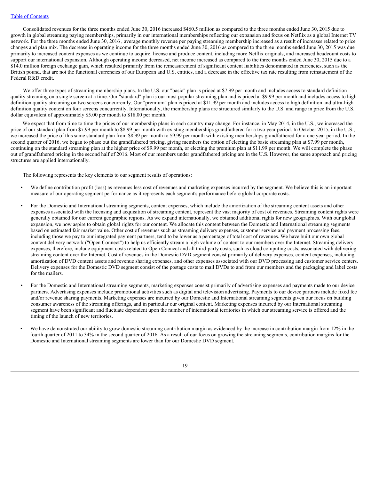Consolidated revenues for the three months ended June 30, 2016 increased \$460.5 million as compared to the three months ended June 30, 2015 due to growth in global streaming paying memberships, primarily in our international memberships reflecting our expansion and focus on Netflix as a global Internet TV network. For the three months ended June 30, 2016 , average monthly revenue per paying streaming membership increased as a result of increases related to price changes and plan mix. The decrease in operating income for the three months ended June 30, 2016 as compared to the three months ended June 30, 2015 was due primarily to increased content expenses as we continue to acquire, license and produce content, including more Netflix originals, and increased headcount costs to support our international expansion. Although operating income decreased, net income increased as compared to the three months ended June 30, 2015 due to a \$14.0 million foreign exchange gain, which resulted primarily from the remeasurement of significant content liabilities denominated in currencies, such as the British pound, that are not the functional currencies of our European and U.S. entities, and a decrease in the effective tax rate resulting from reinstatement of the Federal R&D credit.

We offer three types of streaming membership plans. In the U.S. our "basic" plan is priced at \$7.99 per month and includes access to standard definition quality streaming on a single screen at a time. Our "standard" plan is our most popular streaming plan and is priced at \$9.99 per month and includes access to high definition quality streaming on two screens concurrently. Our "premium" plan is priced at \$11.99 per month and includes access to high definition and ultra-high definition quality content on four screens concurrently. Internationally, the membership plans are structured similarly to the U.S. and range in price from the U.S. dollar equivalent of approximately \$5.00 per month to \$18.00 per month.

We expect that from time to time the prices of our membership plans in each country may change. For instance, in May 2014, in the U.S., we increased the price of our standard plan from \$7.99 per month to \$8.99 per month with existing memberships grandfathered for a two year period. In October 2015, in the U.S., we increased the price of this same standard plan from \$8.99 per month to \$9.99 per month with existing memberships grandfathered for a one year period. In the second quarter of 2016, we began to phase out the grandfathered pricing, giving members the option of electing the basic streaming plan at \$7.99 per month, continuing on the standard streaming plan at the higher price of \$9.99 per month, or electing the premium plan at \$11.99 per month. We will complete the phase out of grandfathered pricing in the second half of 2016. Most of our members under grandfathered pricing are in the U.S. However, the same approach and pricing structures are applied internationally.

The following represents the key elements to our segment results of operations:

- We define contribution profit (loss) as revenues less cost of revenues and marketing expenses incurred by the segment. We believe this is an important measure of our operating segment performance as it represents each segment's performance before global corporate costs.
- For the Domestic and International streaming segments, content expenses, which include the amortization of the streaming content assets and other expenses associated with the licensing and acquisition of streaming content, represent the vast majority of cost of revenues. Streaming content rights were generally obtained for our current geographic regions. As we expand internationally, we obtained additional rights for new geographies. With our global expansion, we now aspire to obtain global rights for our content. We allocate this content between the Domestic and International streaming segments based on estimated fair market value. Other cost of revenues such as streaming delivery expenses, customer service and payment processing fees, including those we pay to our integrated payment partners, tend to be lower as a percentage of total cost of revenues. We have built our own global content delivery network ("Open Connect") to help us efficiently stream a high volume of content to our members over the Internet. Streaming delivery expenses, therefore, include equipment costs related to Open Connect and all third-party costs, such as cloud computing costs, associated with delivering streaming content over the Internet. Cost of revenues in the Domestic DVD segment consist primarily of delivery expenses, content expenses, including amortization of DVD content assets and revenue sharing expenses, and other expenses associated with our DVD processing and customer service centers. Delivery expenses for the Domestic DVD segment consist of the postage costs to mail DVDs to and from our members and the packaging and label costs for the mailers.
- For the Domestic and International streaming segments, marketing expenses consist primarily of advertising expenses and payments made to our device partners. Advertising expenses include promotional activities such as digital and television advertising. Payments to our device partners include fixed fee and/or revenue sharing payments. Marketing expenses are incurred by our Domestic and International streaming segments given our focus on building consumer awareness of the streaming offerings, and in particular our original content. Marketing expenses incurred by our International streaming segment have been significant and fluctuate dependent upon the number of international territories in which our streaming service is offered and the timing of the launch of new territories.
- We have demonstrated our ability to grow domestic streaming contribution margin as evidenced by the increase in contribution margin from 12% in the fourth quarter of 2011 to 34% in the second quarter of 2016. As a result of our focus on growing the streaming segments, contribution margins for the Domestic and International streaming segments are lower than for our Domestic DVD segment.

19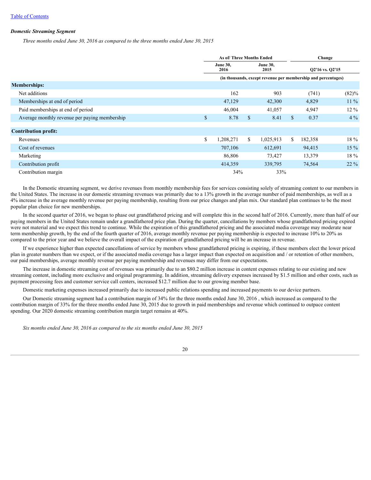# Table of Contents

# *Domestic Streaming Segment*

*Three months ended June 30, 2016 as compared to the three months ended June 30, 2015*

|                                               |    | As of/ Three Months Ended |               |                                                               |    | Change          |        |  |  |
|-----------------------------------------------|----|---------------------------|---------------|---------------------------------------------------------------|----|-----------------|--------|--|--|
|                                               |    | <b>June 30,</b><br>2016   |               | <b>June 30,</b><br>2015                                       |    | Q2'16 vs. Q2'15 |        |  |  |
|                                               |    |                           |               | (in thousands, except revenue per membership and percentages) |    |                 |        |  |  |
| <b>Memberships:</b>                           |    |                           |               |                                                               |    |                 |        |  |  |
| Net additions                                 |    | 162                       |               | 903                                                           |    | (741)           | (82)%  |  |  |
| Memberships at end of period                  |    | 47,129                    |               | 42,300                                                        |    | 4,829           | $11\%$ |  |  |
| Paid memberships at end of period             |    | 46,004                    |               | 41,057                                                        |    | 4,947           | $12\%$ |  |  |
| Average monthly revenue per paying membership | Ъ. | 8.78                      | - 55          | 8.41                                                          | -8 | 0.37            | $4\%$  |  |  |
|                                               |    |                           |               |                                                               |    |                 |        |  |  |
| <b>Contribution profit:</b>                   |    |                           |               |                                                               |    |                 |        |  |  |
| Revenues                                      | -S | ,208,271                  | $\mathcal{S}$ | 1,025,913                                                     |    | 182,358         | 18 %   |  |  |
| Cost of revenues                              |    | 707,106                   |               | 612,691                                                       |    | 94,415          | 15 %   |  |  |
| Marketing                                     |    | 86,806                    |               | 73,427                                                        |    | 13,379          | 18 %   |  |  |
| Contribution profit                           |    | 414,359                   |               | 339,795                                                       |    | 74,564          | 22 %   |  |  |
| Contribution margin                           |    | 34%                       |               | 33%                                                           |    |                 |        |  |  |

In the Domestic streaming segment, we derive revenues from monthly membership fees for services consisting solely of streaming content to our members in the United States. The increase in our domestic streaming revenues was primarily due to a 13% growth in the average number of paid memberships, as well as a 4% increase in the average monthly revenue per paying membership, resulting from our price changes and plan mix. Our standard plan continues to be the most popular plan choice for new memberships.

In the second quarter of 2016, we began to phase out grandfathered pricing and will complete this in the second half of 2016. Currently, more than half of our paying members in the United States remain under a grandfathered price plan. During the quarter, cancellations by members whose grandfathered pricing expired were not material and we expect this trend to continue. While the expiration of this grandfathered pricing and the associated media coverage may moderate near term membership growth, by the end of the fourth quarter of 2016, average monthly revenue per paying membership is expected to increase 10% to 20% as compared to the prior year and we believe the overall impact of the expiration of grandfathered pricing will be an increase in revenue.

If we experience higher than expected cancellations of service by members whose grandfathered pricing is expiring, if these members elect the lower priced plan in greater numbers than we expect, or if the associated media coverage has a larger impact than expected on acquisition and / or retention of other members, our paid memberships, average monthly revenue per paying membership and revenues may differ from our expectations.

The increase in domestic streaming cost of revenues was primarily due to an \$80.2 million increase in content expenses relating to our existing and new streaming content, including more exclusive and original programming. In addition, streaming delivery expenses increased by \$1.5 million and other costs, such as payment processing fees and customer service call centers, increased \$12.7 million due to our growing member base.

Domestic marketing expenses increased primarily due to increased public relations spending and increased payments to our device partners.

Our Domestic streaming segment had a contribution margin of 34% for the three months ended June 30, 2016 , which increased as compared to the contribution margin of 33% for the three months ended June 30, 2015 due to growth in paid memberships and revenue which continued to outpace content spending. Our 2020 domestic streaming contribution margin target remains at 40%.

*Six months ended June 30, 2016 as compared to the six months ended June 30, 2015*

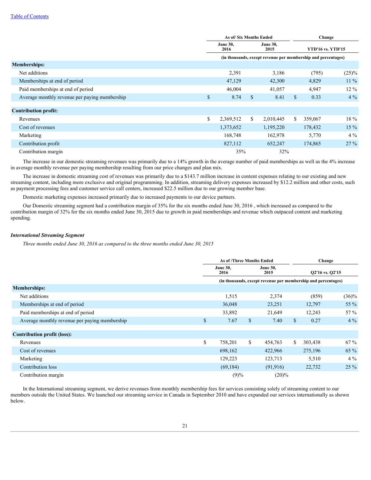|                                               |    | As of/Six Months Ended  |    |                         | Change                                                        |          |  |
|-----------------------------------------------|----|-------------------------|----|-------------------------|---------------------------------------------------------------|----------|--|
|                                               |    | <b>June 30,</b><br>2016 |    | <b>June 30,</b><br>2015 | <b>YTD'16 vs. YTD'15</b>                                      |          |  |
|                                               |    |                         |    |                         | (in thousands, except revenue per membership and percentages) |          |  |
| <b>Memberships:</b>                           |    |                         |    |                         |                                                               |          |  |
| Net additions                                 |    | 2,391                   |    | 3,186                   | (795)                                                         | $(25)\%$ |  |
| Memberships at end of period                  |    | 47,129                  |    | 42,300                  | 4,829                                                         | $11\%$   |  |
| Paid memberships at end of period             |    | 46,004                  |    | 41,057                  | 4,947                                                         | $12\%$   |  |
| Average monthly revenue per paying membership | Ъ. | 8.74                    | -S | 8.41                    | 0.33                                                          | $4\%$    |  |
|                                               |    |                         |    |                         |                                                               |          |  |
| <b>Contribution profit:</b>                   |    |                         |    |                         |                                                               |          |  |
| Revenues                                      | S. | 2,369,512               |    | 2,010,445               | 359,067                                                       | 18 %     |  |
| Cost of revenues                              |    | 1,373,652               |    | 1,195,220               | 178,432                                                       | 15 %     |  |
| Marketing                                     |    | 168,748                 |    | 162,978                 | 5,770                                                         | $4\%$    |  |
| Contribution profit                           |    | 827,112                 |    | 652,247                 | 174,865                                                       | 27 %     |  |
| Contribution margin                           |    | 35%                     |    | 32%                     |                                                               |          |  |

The increase in our domestic streaming revenues was primarily due to a 14% growth in the average number of paid memberships as well as the 4% increase in average monthly revenue per paying membership resulting from our price changes and plan mix.

The increase in domestic streaming cost of revenues was primarily due to a \$143.7 million increase in content expenses relating to our existing and new streaming content, including more exclusive and original programming. In addition, streaming delivery expenses increased by \$12.2 million and other costs, such as payment processing fees and customer service call centers, increased \$22.5 million due to our growing member base.

Domestic marketing expenses increased primarily due to increased payments to our device partners.

Our Domestic streaming segment had a contribution margin of 35% for the six months ended June 30, 2016 , which increased as compared to the contribution margin of 32% for the six months ended June 30, 2015 due to growth in paid memberships and revenue which outpaced content and marketing spending.

# *International Streaming Segment*

*Three months ended June 30, 2016 as compared to the three months ended June 30, 2015*

|                                               |               | As of /Three Months Ended |              |                         | Change |                                                               |          |  |
|-----------------------------------------------|---------------|---------------------------|--------------|-------------------------|--------|---------------------------------------------------------------|----------|--|
|                                               |               | <b>June 30,</b><br>2016   |              | <b>June 30,</b><br>2015 |        | Q2'16 vs. Q2'15                                               |          |  |
|                                               |               |                           |              |                         |        | (in thousands, except revenue per membership and percentages) |          |  |
| <b>Memberships:</b>                           |               |                           |              |                         |        |                                                               |          |  |
| Net additions                                 |               | 1,515                     |              | 2,374                   |        | (859)                                                         | $(36)\%$ |  |
| Memberships at end of period                  |               | 36,048                    |              | 23,251                  |        | 12,797                                                        | 55 %     |  |
| Paid memberships at end of period             |               | 33,892                    |              | 21,649                  |        | 12,243                                                        | 57 %     |  |
| Average monthly revenue per paying membership | $\mathcal{D}$ | 7.67                      | Ж.           | 7.40                    |        | 0.27                                                          | $4\%$    |  |
| <b>Contribution profit (loss):</b>            |               |                           |              |                         |        |                                                               |          |  |
| Revenues                                      | \$.           | 758,201                   | <sup>S</sup> | 454,763                 | -S     | 303,438                                                       | $67\%$   |  |
| Cost of revenues                              |               | 698,162                   |              | 422,966                 |        | 275,196                                                       | 65 %     |  |
| Marketing                                     |               | 129,223                   |              | 123,713                 |        | 5,510                                                         | $4\%$    |  |
| Contribution loss                             |               | (69, 184)                 |              | (91, 916)               |        | 22,732                                                        | 25 %     |  |
| Contribution margin                           |               | (9)%                      |              | (20)%                   |        |                                                               |          |  |

In the International streaming segment, we derive revenues from monthly membership fees for services consisting solely of streaming content to our members outside the United States. We launched our streaming service in Canada in September 2010 and have expanded our services internationally as shown below.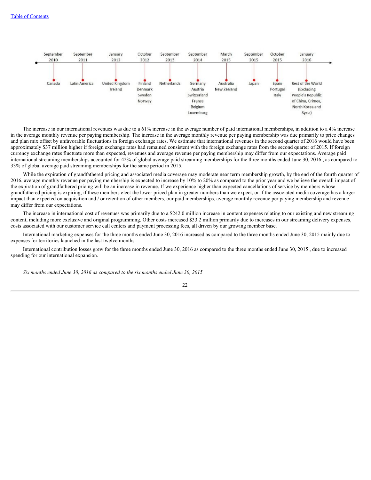

The increase in our international revenues was due to a 61% increase in the average number of paid international memberships, in addition to a 4% increase in the average monthly revenue per paying membership. The increase in the average monthly revenue per paying membership was due primarily to price changes and plan mix offset by unfavorable fluctuations in foreign exchange rates. We estimate that international revenues in the second quarter of 2016 would have been approximately \$37 million higher if foreign exchange rates had remained consistent with the foreign exchange rates from the second quarter of 2015. If foreign currency exchange rates fluctuate more than expected, revenues and average revenue per paying membership may differ from our expectations. Average paid international streaming memberships accounted for 42% of global average paid streaming memberships for the three months ended June 30, 2016 , as compared to 33% of global average paid streaming memberships for the same period in 2015.

While the expiration of grandfathered pricing and associated media coverage may moderate near term membership growth, by the end of the fourth quarter of 2016, average monthly revenue per paying membership is expected to increase by 10% to 20% as compared to the prior year and we believe the overall impact of the expiration of grandfathered pricing will be an increase in revenue. If we experience higher than expected cancellations of service by members whose grandfathered pricing is expiring, if these members elect the lower priced plan in greater numbers than we expect, or if the associated media coverage has a larger impact than expected on acquisition and / or retention of other members, our paid memberships, average monthly revenue per paying membership and revenue may differ from our expectations.

The increase in international cost of revenues was primarily due to a \$242.0 million increase in content expenses relating to our existing and new streaming content, including more exclusive and original programming. Other costs increased \$33.2 million primarily due to increases in our streaming delivery expenses, costs associated with our customer service call centers and payment processing fees, all driven by our growing member base.

International marketing expenses for the three months ended June 30, 2016 increased as compared to the three months ended June 30, 2015 mainly due to expenses for territories launched in the last twelve months.

International contribution losses grew for the three months ended June 30, 2016 as compared to the three months ended June 30, 2015 , due to increased spending for our international expansion.

*Six months ended June 30, 2016 as compared to the six months ended June 30, 2015*

22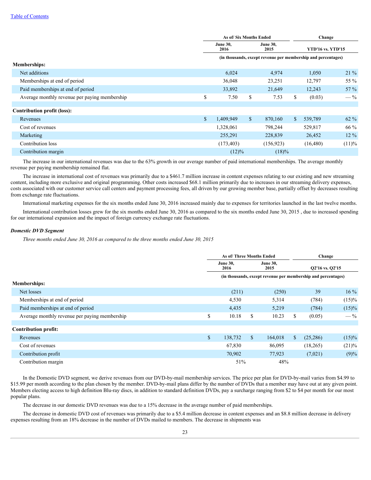The increase in our international revenues was due to the 63% growth in our average number of paid international memberships. The average monthly revenue per paying membership remained flat.

The increase in international cost of revenues was primarily due to a \$461.7 million increase in content expenses relating to our existing and new streaming content, including more exclusive and original programming. Other costs increased \$68.1 million primarily due to increases in our streaming delivery expenses, costs associated with our customer service call centers and payment processing fees, all driven by our growing member base, partially offset by decreases resulting from exchange rate fluctuations.

International marketing expenses for the six months ended June 30, 2016 increased mainly due to expenses for territories launched in the last twelve months.

International contribution losses grew for the six months ended June 30, 2016 as compared to the six months ended June 30, 2015 , due to increased spending for our international expansion and the impact of foreign currency exchange rate fluctuations.

# *Domestic DVD Segment*

*Three months ended June 30, 2016 as compared to the three months ended June 30, 2015*

|                                               |               | As of/ Three Months Ended                                     |     |                         |  | Change          |          |  |  |  |  |
|-----------------------------------------------|---------------|---------------------------------------------------------------|-----|-------------------------|--|-----------------|----------|--|--|--|--|
|                                               |               | <b>June 30,</b><br>2016                                       |     | <b>June 30,</b><br>2015 |  | Q2'16 vs. Q2'15 |          |  |  |  |  |
|                                               |               | (in thousands, except revenue per membership and percentages) |     |                         |  |                 |          |  |  |  |  |
| <b>Memberships:</b>                           |               |                                                               |     |                         |  |                 |          |  |  |  |  |
| Net losses                                    |               | (211)                                                         |     | (250)                   |  | 39              | 16 %     |  |  |  |  |
| Memberships at end of period                  |               | 4,530                                                         |     | 5,314                   |  | (784)           | $(15)\%$ |  |  |  |  |
| Paid memberships at end of period             |               | 4,435                                                         |     | 5,219                   |  | (784)           | $(15)\%$ |  |  |  |  |
| Average monthly revenue per paying membership | D.            | 10.18                                                         | -S  | 10.23                   |  | (0.05)          | $-$ %    |  |  |  |  |
|                                               |               |                                                               |     |                         |  |                 |          |  |  |  |  |
| <b>Contribution profit:</b>                   |               |                                                               |     |                         |  |                 |          |  |  |  |  |
| Revenues                                      | $\mathcal{L}$ | 138,732                                                       | - S | 164,018                 |  | (25, 286)       | $(15)\%$ |  |  |  |  |
| Cost of revenues                              |               | 67,830                                                        |     | 86,095                  |  | (18,265)        | (21)%    |  |  |  |  |
| Contribution profit                           |               | 70,902                                                        |     | 77,923                  |  | (7,021)         | (9)%     |  |  |  |  |
| Contribution margin                           |               | 51%                                                           |     | 48%                     |  |                 |          |  |  |  |  |

In the Domestic DVD segment, we derive revenues from our DVD-by-mail membership services. The price per plan for DVD-by-mail varies from \$4.99 to \$15.99 per month according to the plan chosen by the member. DVD-by-mail plans differ by the number of DVDs that a member may have out at any given point. Members electing access to high definition Blu-ray discs, in addition to standard definition DVDs, pay a surcharge ranging from \$2 to \$4 per month for our most popular plans.

The decrease in our domestic DVD revenues was due to a 15% decrease in the average number of paid memberships.

The decrease in domestic DVD cost of revenues was primarily due to a \$5.4 million decrease in content expenses and an \$8.8 million decrease in delivery expenses resulting from an 18% decrease in the number of DVDs mailed to members. The decrease in shipments was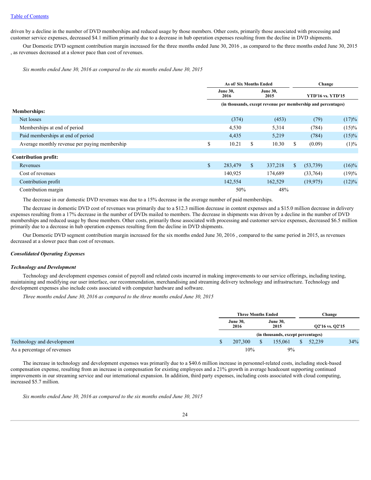driven by a decline in the number of DVD memberships and reduced usage by those members. Other costs, primarily those associated with processing and customer service expenses, decreased \$4.1 million primarily due to a decrease in hub operation expenses resulting from the decline in DVD shipments.

Our Domestic DVD segment contribution margin increased for the three months ended June 30, 2016 , as compared to the three months ended June 30, 2015 , as revenues decreased at a slower pace than cost of revenues.

*Six months ended June 30, 2016 as compared to the six months ended June 30, 2015*

|                                               |               |                         | As of/Six Months Ended |                         |  | Change                                                        |          |  |
|-----------------------------------------------|---------------|-------------------------|------------------------|-------------------------|--|---------------------------------------------------------------|----------|--|
|                                               |               | <b>June 30,</b><br>2016 |                        | <b>June 30,</b><br>2015 |  | <b>YTD'16 vs. YTD'15</b>                                      |          |  |
|                                               |               |                         |                        |                         |  | (in thousands, except revenue per membership and percentages) |          |  |
| <b>Memberships:</b>                           |               |                         |                        |                         |  |                                                               |          |  |
| Net losses                                    |               | (374)                   |                        | (453)                   |  | (79)                                                          | (17)%    |  |
| Memberships at end of period                  |               | 4,530                   |                        | 5,314                   |  | (784)                                                         | $(15)\%$ |  |
| Paid memberships at end of period             |               | 4,435                   |                        | 5,219                   |  | (784)                                                         | $(15)\%$ |  |
| Average monthly revenue per paying membership | <sup>\$</sup> | 10.21                   |                        | 10.30                   |  | (0.09)                                                        | (1)%     |  |
|                                               |               |                         |                        |                         |  |                                                               |          |  |
| <b>Contribution profit:</b>                   |               |                         |                        |                         |  |                                                               |          |  |
| Revenues                                      | $\mathcal{S}$ | 283,479                 | - \$                   | 337,218                 |  | (53, 739)                                                     | $(16)\%$ |  |
| Cost of revenues                              |               | 140,925                 |                        | 174,689                 |  | (33,764)                                                      | (19)%    |  |
| Contribution profit                           |               | 142,554                 |                        | 162,529                 |  | (19, 975)                                                     | $(12)\%$ |  |
| Contribution margin                           |               | 50%                     |                        | 48%                     |  |                                                               |          |  |

The decrease in our domestic DVD revenues was due to a 15% decrease in the average number of paid memberships.

The decrease in domestic DVD cost of revenues was primarily due to a \$12.3 million decrease in content expenses and a \$15.0 million decrease in delivery expenses resulting from a 17% decrease in the number of DVDs mailed to members. The decrease in shipments was driven by a decline in the number of DVD memberships and reduced usage by those members. Other costs, primarily those associated with processing and customer service expenses, decreased \$6.5 million primarily due to a decrease in hub operation expenses resulting from the decline in DVD shipments.

Our Domestic DVD segment contribution margin increased for the six months ended June 30, 2016 , compared to the same period in 2015, as revenues decreased at a slower pace than cost of revenues.

#### *Consolidated Operating Expenses*

#### *Technology and Development*

Technology and development expenses consist of payroll and related costs incurred in making improvements to our service offerings, including testing, maintaining and modifying our user interface, our recommendation, merchandising and streaming delivery technology and infrastructure. Technology and development expenses also include costs associated with computer hardware and software.

*Three months ended June 30, 2016 as compared to the three months ended June 30, 2015*

|                             |                  | <b>Three Months Ended</b>          | Change          |  |
|-----------------------------|------------------|------------------------------------|-----------------|--|
|                             | June 30,<br>2016 | <b>June 30,</b><br>2015            | Q2'16 vs. Q2'15 |  |
|                             |                  | (in thousands, except percentages) |                 |  |
| Technology and development  | 207,300          | 155,061                            | 34%<br>52,239   |  |
| As a percentage of revenues | 10%              | 9%                                 |                 |  |

The increase in technology and development expenses was primarily due to a \$40.6 million increase in personnel-related costs, including stock-based compensation expense, resulting from an increase in compensation for existing employees and a 21% growth in average headcount supporting continued improvements in our streaming service and our international expansion. In addition, third party expenses, including costs associated with cloud computing, increased \$5.7 million.

*Six months ended June 30, 2016 as compared to the six months ended June 30, 2015*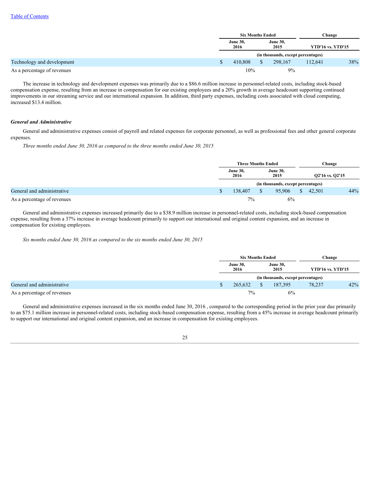|                             | <b>Six Months Ended</b> |                                    | Change                   |     |
|-----------------------------|-------------------------|------------------------------------|--------------------------|-----|
|                             | <b>June 30,</b><br>2016 | <b>June 30,</b><br>2015            | <b>YTD'16 vs. YTD'15</b> |     |
|                             |                         | (in thousands, except percentages) |                          |     |
| Technology and development  | 410,808                 | 298,167                            | 112,641                  | 38% |
| As a percentage of revenues | 10%                     | 9%                                 |                          |     |

The increase in technology and development expenses was primarily due to a \$86.6 million increase in personnel-related costs, including stock-based compensation expense, resulting from an increase in compensation for our existing employees and a 20% growth in average headcount supporting continued improvements in our streaming service and our international expansion. In addition, third party expenses, including costs associated with cloud computing, increased \$13.4 million.

# *General and Administrative*

General and administrative expenses consist of payroll and related expenses for corporate personnel, as well as professional fees and other general corporate expenses.

*Three months ended June 30, 2016 as compared to the three months ended June 30, 2015*

|                             | <b>Three Months Ended</b> |                         |                                    | Change |  |
|-----------------------------|---------------------------|-------------------------|------------------------------------|--------|--|
|                             | <b>June 30,</b><br>2016   | <b>June 30,</b><br>2015 | Q2'16 vs. Q2'15                    |        |  |
|                             |                           |                         | (in thousands, except percentages) |        |  |
| General and administrative  | 138,407                   | 95,906                  | 42,501                             | 44%    |  |
| As a percentage of revenues | $7\%$                     | 6%                      |                                    |        |  |

General and administrative expenses increased primarily due to a \$38.9 million increase in personnel-related costs, including stock-based compensation expense, resulting from a 37% increase in average headcount primarily to support our international and original content expansion, and an increase in compensation for existing employees.

*Six months ended June 30, 2016 as compared to the six months ended June 30, 2015*

|                             | <b>Six Months Ended</b> |  |                                    | Change                   |     |  |
|-----------------------------|-------------------------|--|------------------------------------|--------------------------|-----|--|
|                             | June 30,<br>2016        |  | <b>June 30,</b><br>2015            | <b>YTD'16 vs. YTD'15</b> |     |  |
|                             |                         |  | (in thousands, except percentages) |                          |     |  |
| General and administrative  | 265,632                 |  | 187,395                            | 78,237                   | 42% |  |
| As a percentage of revenues | $7\%$                   |  | 6%                                 |                          |     |  |

General and administrative expenses increased in the six months ended June 30, 2016 , compared to the corresponding period in the prior year due primarily to an \$75.1 million increase in personnel-related costs, including stock-based compensation expense, resulting from a 45% increase in average headcount primarily to support our international and original content expansion, and an increase in compensation for existing employees.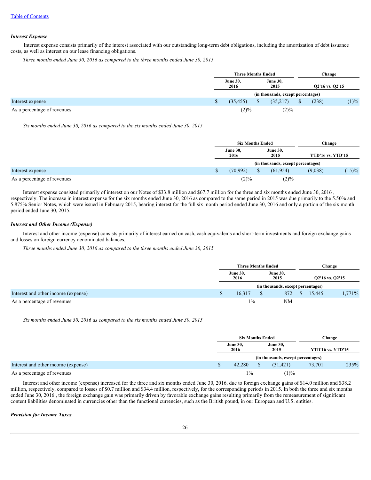#### *Interest Expense*

Interest expense consists primarily of the interest associated with our outstanding long-term debt obligations, including the amortization of debt issuance costs, as well as interest on our lease financing obligations.

*Three months ended June 30, 2016 as compared to the three months ended June 30, 2015*

|                             | <b>Three Months Ended</b> |  |                                    | Change |                 |      |
|-----------------------------|---------------------------|--|------------------------------------|--------|-----------------|------|
|                             | June 30,<br>2016          |  | <b>June 30,</b><br>2015            |        | Q2'16 vs. Q2'15 |      |
|                             |                           |  | (in thousands, except percentages) |        |                 |      |
| Interest expense            | (35, 455)                 |  | (35,217)                           |        | (238)           | (1)% |
| As a percentage of revenues | (2)%                      |  | (2)%                               |        |                 |      |

*Six months ended June 30, 2016 as compared to the six months ended June 30, 2015*

|                             | <b>Six Months Ended</b> |  |                                    | Change                   |       |  |
|-----------------------------|-------------------------|--|------------------------------------|--------------------------|-------|--|
|                             | <b>June 30,</b><br>2016 |  | June 30,<br>2015                   | <b>YTD'16 vs. YTD'15</b> |       |  |
|                             |                         |  | (in thousands, except percentages) |                          |       |  |
| Interest expense            | (70, 992)               |  | (61, 954)                          | (9,038)                  | (15)% |  |
| As a percentage of revenues | $(2)\%$                 |  | $(2)\%$                            |                          |       |  |

Interest expense consisted primarily of interest on our Notes of \$33.8 million and \$67.7 million for the three and six months ended June 30, 2016 , respectively. The increase in interest expense for the six months ended June 30, 2016 as compared to the same period in 2015 was due primarily to the 5.50% and 5.875% Senior Notes, which were issued in February 2015, bearing interest for the full six month period ended June 30, 2016 and only a portion of the six month period ended June 30, 2015.

#### *Interest and Other Income (Expense)*

Interest and other income (expense) consists primarily of interest earned on cash, cash equivalents and short-term investments and foreign exchange gains and losses on foreign currency denominated balances.

*Three months ended June 30, 2016 as compared to the three months ended June 30, 2015*

|                                     | <b>Three Months Ended</b> |                                    | Change          |        |
|-------------------------------------|---------------------------|------------------------------------|-----------------|--------|
|                                     | <b>June 30,</b><br>2016   | <b>June 30,</b><br>2015            | Q2'16 vs. Q2'15 |        |
|                                     |                           | (in thousands, except percentages) |                 |        |
| Interest and other income (expense) | 16,317                    | 872                                | 15,445          | 1,771% |
| As a percentage of revenues         | $1\%$                     | NM                                 |                 |        |

*Six months ended June 30, 2016 as compared to the six months ended June 30, 2015*

|                                     | <b>Six Months Ended</b> |                                    | Change                   |      |  |
|-------------------------------------|-------------------------|------------------------------------|--------------------------|------|--|
|                                     | <b>June 30,</b><br>2016 | <b>June 30,</b><br>2015            | <b>YTD'16 vs. YTD'15</b> |      |  |
|                                     |                         | (in thousands, except percentages) |                          |      |  |
| Interest and other income (expense) | 42,280                  | (31, 421)                          | 73,701                   | 235% |  |
| As a percentage of revenues         | $1\%$                   | (1)%                               |                          |      |  |

Interest and other income (expense) increased for the three and six months ended June 30, 2016, due to foreign exchange gains of \$14.0 million and \$38.2 million, respectively, compared to losses of \$0.7 million and \$34.4 million, respectively, for the corresponding periods in 2015. In both the three and six months ended June 30, 2016 , the foreign exchange gain was primarily driven by favorable exchange gains resulting primarily from the remeasurement of significant content liabilities denominated in currencies other than the functional currencies, such as the British pound, in our European and U.S. entities.

#### *Provision for Income Taxes*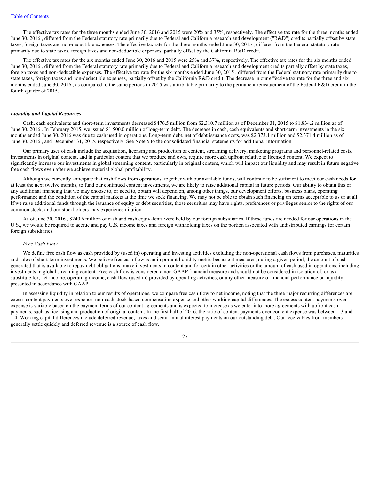The effective tax rates for the three months ended June 30, 2016 and 2015 were 20% and 35%, respectively. The effective tax rate for the three months ended June 30, 2016 , differed from the Federal statutory rate primarily due to Federal and California research and development ("R&D") credits partially offset by state taxes, foreign taxes and non-deductible expenses. The effective tax rate for the three months ended June 30, 2015 , differed from the Federal statutory rate primarily due to state taxes, foreign taxes and non-deductible expenses, partially offset by the California R&D credit.

The effective tax rates for the six months ended June 30, 2016 and 2015 were 25% and 37%, respectively. The effective tax rates for the six months ended June 30, 2016 , differed from the Federal statutory rate primarily due to Federal and California research and development credits partially offset by state taxes, foreign taxes and non-deductible expenses. The effective tax rate for the six months ended June 30, 2015 , differed from the Federal statutory rate primarily due to state taxes, foreign taxes and non-deductible expenses, partially offset by the California R&D credit. The decrease in our effective tax rate for the three and six months ended June 30, 2016, as compared to the same periods in 2015 was attributable primarily to the permanent reinstatement of the Federal R&D credit in the fourth quarter of 2015.

## *Liquidity and Capital Resources*

Cash, cash equivalents and short-term investments decreased \$476.5 million from \$2,310.7 million as of December 31, 2015 to \$1,834.2 million as of June 30, 2016. In February 2015, we issued \$1,500.0 million of long-term debt. The decrease in cash, cash equivalents and short-term investments in the six months ended June 30, 2016 was due to cash used in operations. Long-term debt, net of debt issuance costs, was \$2,373.1 million and \$2,371.4 million as of June 30, 2016 , and December 31, 2015, respectively. See Note 5 to the consolidated financial statements for additional information.

Our primary uses of cash include the acquisition, licensing and production of content, streaming delivery, marketing programs and personnel-related costs. Investments in original content, and in particular content that we produce and own, require more cash upfront relative to licensed content. We expect to significantly increase our investments in global streaming content, particularly in original content, which will impact our liquidity and may result in future negative free cash flows even after we achieve material global profitability.

Although we currently anticipate that cash flows from operations, together with our available funds, will continue to be sufficient to meet our cash needs for at least the next twelve months, to fund our continued content investments, we are likely to raise additional capital in future periods. Our ability to obtain this or any additional financing that we may choose to, or need to, obtain will depend on, among other things, our development efforts, business plans, operating performance and the condition of the capital markets at the time we seek financing. We may not be able to obtain such financing on terms acceptable to us or at all. If we raise additional funds through the issuance of equity or debt securities, those securities may have rights, preferences or privileges senior to the rights of our common stock, and our stockholders may experience dilution.

As of June 30, 2016 , \$240.6 million of cash and cash equivalents were held by our foreign subsidiaries. If these funds are needed for our operations in the U.S., we would be required to accrue and pay U.S. income taxes and foreign withholding taxes on the portion associated with undistributed earnings for certain foreign subsidiaries.

# *Free Cash Flow*

We define free cash flow as cash provided by (used in) operating and investing activities excluding the non-operational cash flows from purchases, maturities and sales of short-term investments. We believe free cash flow is an important liquidity metric because it measures, during a given period, the amount of cash generated that is available to repay debt obligations, make investments in content and for certain other activities or the amount of cash used in operations, including investments in global streaming content. Free cash flow is considered a non-GAAP financial measure and should not be considered in isolation of, or as a substitute for, net income, operating income, cash flow (used in) provided by operating activities, or any other measure of financial performance or liquidity presented in accordance with GAAP.

In assessing liquidity in relation to our results of operations, we compare free cash flow to net income, noting that the three major recurring differences are excess content payments over expense, non-cash stock-based compensation expense and other working capital differences. The excess content payments over expense is variable based on the payment terms of our content agreements and is expected to increase as we enter into more agreements with upfront cash payments, such as licensing and production of original content. In the first half of 2016, the ratio of content payments over content expense was between 1.3 and 1.4. Working capital differences include deferred revenue, taxes and semi-annual interest payments on our outstanding debt. Our receivables from members generally settle quickly and deferred revenue is a source of cash flow.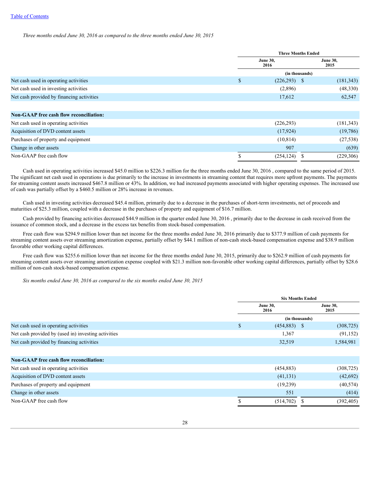*Three months ended June 30, 2016 as compared to the three months ended June 30, 2015*

|                                           | <b>Three Months Ended</b> |                         |  |  |  |
|-------------------------------------------|---------------------------|-------------------------|--|--|--|
|                                           | <b>June 30,</b><br>2016   | <b>June 30,</b><br>2015 |  |  |  |
|                                           | (in thousands)            |                         |  |  |  |
| Net cash used in operating activities     | $(226,293)$ \$            | (181, 343)              |  |  |  |
| Net cash used in investing activities     | (2,896)                   | (48, 330)               |  |  |  |
| Net cash provided by financing activities | 17,612                    | 62,547                  |  |  |  |
|                                           |                           |                         |  |  |  |
|                                           |                           |                         |  |  |  |

| <b>Non-GAAP</b> free cash flow reconciliation: |            |            |
|------------------------------------------------|------------|------------|
| Net cash used in operating activities          | (226, 293) | (181, 343) |
| Acquisition of DVD content assets              | (17, 924)  | (19,786)   |
| Purchases of property and equipment            | (10, 814)  | (27, 538)  |
| Change in other assets                         | 907        | (639)      |
| Non-GAAP free cash flow                        | (254, 124) | (229, 306) |
|                                                |            |            |

Cash used in operating activities increased \$45.0 million to \$226.3 million for the three months ended June 30, 2016 , compared to the same period of 2015. The significant net cash used in operations is due primarily to the increase in investments in streaming content that requires more upfront payments. The payments for streaming content assets increased \$467.8 million or 43%. In addition, we had increased payments associated with higher operating expenses. The increased use of cash was partially offset by a \$460.5 million or 28% increase in revenues.

Cash used in investing activities decreased \$45.4 million, primarily due to a decrease in the purchases of short-term investments, net of proceeds and maturities of \$25.3 million, coupled with a decrease in the purchases of property and equipment of \$16.7 million.

Cash provided by financing activities decreased \$44.9 million in the quarter ended June 30, 2016 , primarily due to the decrease in cash received from the issuance of common stock, and a decrease in the excess tax benefits from stock-based compensation.

Free cash flow was \$294.9 million lower than net income for the three months ended June 30, 2016 primarily due to \$377.9 million of cash payments for streaming content assets over streaming amortization expense, partially offset by \$44.1 million of non-cash stock-based compensation expense and \$38.9 million favorable other working capital differences.

Free cash flow was \$255.6 million lower than net income for the three months ended June 30, 2015, primarily due to \$262.9 million of cash payments for streaming content assets over streaming amortization expense coupled with \$21.3 million non-favorable other working capital differences, partially offset by \$28.6 million of non-cash stock-based compensation expense.

*Six months ended June 30, 2016 as compared to the six months ended June 30, 2015*

|                                                     |          |                         | <b>Six Months Ended</b> |  |  |
|-----------------------------------------------------|----------|-------------------------|-------------------------|--|--|
|                                                     |          | <b>June 30,</b><br>2016 | <b>June 30,</b><br>2015 |  |  |
|                                                     |          | (in thousands)          |                         |  |  |
| Net cash used in operating activities               | <b>S</b> | $(454,883)$ \$          | (308, 725)              |  |  |
| Net cash provided by (used in) investing activities |          | 1,367                   | (91, 152)               |  |  |
| Net cash provided by financing activities           |          | 32,519                  | 1,584,981               |  |  |
|                                                     |          |                         |                         |  |  |
| <b>Non-GAAP free cash flow reconciliation:</b>      |          |                         |                         |  |  |
| Net cash used in operating activities               |          | (454, 883)              | (308, 725)              |  |  |
| Acquisition of DVD content assets                   |          | (41, 131)               | (42, 692)               |  |  |
| Purchases of property and equipment                 |          | (19,239)                | (40, 574)               |  |  |
| Change in other assets                              |          | 551                     | (414)                   |  |  |
| Non-GAAP free cash flow                             |          | $(514,702)$ \\$         | (392, 405)              |  |  |
|                                                     |          |                         |                         |  |  |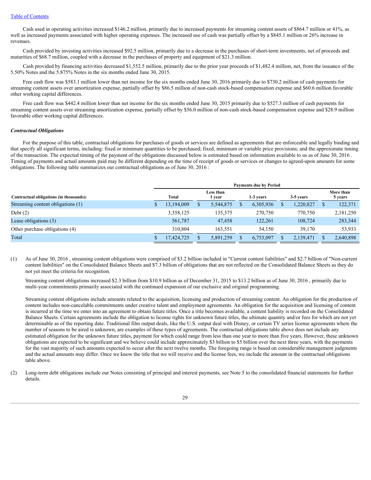Cash used in operating activities increased \$146.2 million, primarily due to increased payments for streaming content assets of \$864.7 million or 41%, as well as increased payments associated with higher operating expenses. The increased use of cash was partially offset by a \$845.1 million or 26% increase in revenues.

Cash provided by investing activities increased \$92.5 million, primarily due to a decrease in the purchases of short-term investments, net of proceeds and maturities of \$68.7 million, coupled with a decrease in the purchases of property and equipment of \$21.3 million.

Cash provided by financing activities decreased \$1,552.5 million, primarily due to the prior year proceeds of \$1,482.4 million, net, from the issuance of the 5.50% Notes and the 5.875% Notes in the six months ended June 30, 2015.

Free cash flow was \$583.1 million lower than net income for the six months ended June 30, 2016 primarily due to \$730.2 million of cash payments for streaming content assets over amortization expense, partially offset by \$86.5 million of non-cash stock-based compensation expense and \$60.6 million favorable other working capital differences.

Free cash flow was \$442.4 million lower than net income for the six months ended June 30, 2015 primarily due to \$527.3 million of cash payments for streaming content assets over streaming amortization expense, partially offset by \$56.0 million of non-cash stock-based compensation expense and \$28.9 million favorable other working capital differences.

#### *Contractual Obligations*

For the purpose of this table, contractual obligations for purchases of goods or services are defined as agreements that are enforceable and legally binding and that specify all significant terms, including: fixed or minimum quantities to be purchased; fixed, minimum or variable price provisions; and the approximate timing of the transaction. The expected timing of the payment of the obligations discussed below is estimated based on information available to us as of June 30, 2016 . Timing of payments and actual amounts paid may be different depending on the time of receipt of goods or services or changes to agreed-upon amounts for some obligations. The following table summarizes our contractual obligations as of June 30, 2016 :

|                                         |            |                     | <b>Payments due by Period</b> |           |                      |
|-----------------------------------------|------------|---------------------|-------------------------------|-----------|----------------------|
| Contractual obligations (in thousands): | Total      | Less than<br>1 year | 1-3 years                     | 3-5 years | More than<br>5 years |
| Streaming content obligations (1)       | 13,194,009 | 5,544,875           | 6,305,936                     | ,220,827  | 122,371              |
| Debt $(2)$                              | 3,358,125  | 135,375             | 270,750                       | 770,750   | 2,181,250            |
| Lease obligations (3)                   | 561,787    | 47,458              | 122,261                       | 108,724   | 283,344              |
| Other purchase obligations (4)          | 310,804    | 163,551             | 54,150                        | 39,170    | 53,933               |
| Total                                   | 17,424,725 | 5,891,259           | 6,753,097                     | 2,139,471 | 2,640,898            |
|                                         |            |                     |                               |           |                      |

(1) As of June 30, 2016 , streaming content obligations were comprised of \$3.2 billion included in "Current content liabilities" and \$2.7 billion of "Non-current content liabilities" on the Consolidated Balance Sheets and \$7.3 billion of obligations that are not reflected on the Consolidated Balance Sheets as they do not yet meet the criteria for recognition.

Streaming content obligations increased \$2.3 billion from \$10.9 billion as of December 31, 2015 to \$13.2 billion as of June 30, 2016 , primarily due to multi-year commitments primarily associated with the continued expansion of our exclusive and original programming.

Streaming content obligations include amounts related to the acquisition, licensing and production of streaming content. An obligation for the production of content includes non-cancelable commitments under creative talent and employment agreements. An obligation for the acquisition and licensing of content is incurred at the time we enter into an agreement to obtain future titles. Once a title becomes available, a content liability is recorded on the Consolidated Balance Sheets. Certain agreements include the obligation to license rights for unknown future titles, the ultimate quantity and/or fees for which are not yet determinable as of the reporting date. Traditional film output deals, like the U.S. output deal with Disney, or certain TV series license agreements where the number of seasons to be aired is unknown, are examples of these types of agreements. The contractual obligations table above does not include any estimated obligation for the unknown future titles, payment for which could range from less than one year to more than five years. However, these unknown obligations are expected to be significant and we believe could include approximately \$3 billion to \$5 billion over the next three years, with the payments for the vast majority of such amounts expected to occur after the next twelve months. The foregoing range is based on considerable management judgments and the actual amounts may differ. Once we know the title that we will receive and the license fees, we include the amount in the contractual obligations table above.

(2) Long-term debt obligations include our Notes consisting of principal and interest payments, see Note 5 to the consolidated financial statements for further details.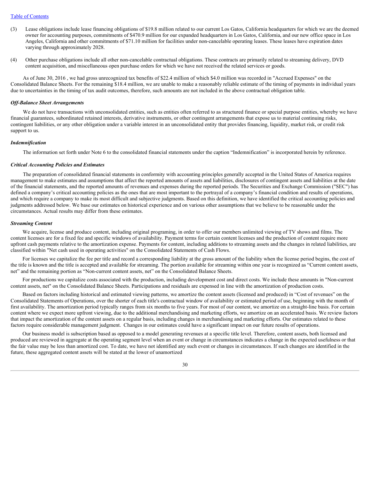- (3) Lease obligations include lease financing obligations of \$19.8 million related to our current Los Gatos, California headquarters for which we are the deemed owner for accounting purposes, commitments of \$470.9 million for our expanded headquarters in Los Gatos, California, and our new office space in Los Angeles, California and other commitments of \$71.10 million for facilities under non-cancelable operating leases. These leases have expiration dates varying through approximately 2028.
- (4) Other purchase obligations include all other non-cancelable contractual obligations. These contracts are primarily related to streaming delivery, DVD content acquisition, and miscellaneous open purchase orders for which we have not received the related services or goods.

As of June 30, 2016 , we had gross unrecognized tax benefits of \$22.4 million of which \$4.0 million was recorded in "Accrued Expenses" on the Consolidated Balance Sheets. For the remaining \$18.4 million, we are unable to make a reasonably reliable estimate of the timing of payments in individual years due to uncertainties in the timing of tax audit outcomes, therefore, such amounts are not included in the above contractual obligation table.

#### *Off-Balance Sheet Arrangements*

We do not have transactions with unconsolidated entities, such as entities often referred to as structured finance or special purpose entities, whereby we have financial guarantees, subordinated retained interests, derivative instruments, or other contingent arrangements that expose us to material continuing risks, contingent liabilities, or any other obligation under a variable interest in an unconsolidated entity that provides financing, liquidity, market risk, or credit risk support to us.

#### *Indemnification*

The information set forth under Note 6 to the consolidated financial statements under the caption "Indemnification" is incorporated herein by reference.

#### *Critical Accounting Policies and Estimates*

The preparation of consolidated financial statements in conformity with accounting principles generally accepted in the United States of America requires management to make estimates and assumptions that affect the reported amounts of assets and liabilities, disclosures of contingent assets and liabilities at the date of the financial statements, and the reported amounts of revenues and expenses during the reported periods. The Securities and Exchange Commission ("SEC") has defined a company's critical accounting policies as the ones that are most important to the portrayal of a company's financial condition and results of operations, and which require a company to make its most difficult and subjective judgments. Based on this definition, we have identified the critical accounting policies and judgments addressed below. We base our estimates on historical experience and on various other assumptions that we believe to be reasonable under the circumstances. Actual results may differ from these estimates.

#### *Streaming Content*

We acquire, license and produce content, including original programing, in order to offer our members unlimited viewing of TV shows and films. The content licenses are for a fixed fee and specific windows of availability. Payment terms for certain content licenses and the production of content require more upfront cash payments relative to the amortization expense. Payments for content, including additions to streaming assets and the changes in related liabilities, are classified within "Net cash used in operating activities" on the Consolidated Statements of Cash Flows.

For licenses we capitalize the fee per title and record a corresponding liability at the gross amount of the liability when the license period begins, the cost of the title is known and the title is accepted and available for streaming. The portion available for streaming within one year is recognized as "Current content assets, net" and the remaining portion as "Non-current content assets, net" on the Consolidated Balance Sheets.

For productions we capitalize costs associated with the production, including development cost and direct costs. We include these amounts in "Non-current content assets, net" on the Consolidated Balance Sheets. Participations and residuals are expensed in line with the amortization of production costs.

Based on factors including historical and estimated viewing patterns, we amortize the content assets (licensed and produced) in "Cost of revenues" on the Consolidated Statements of Operations, over the shorter of each title's contractual window of availability or estimated period of use, beginning with the month of first availability. The amortization period typically ranges from six months to five years. For most of our content, we amortize on a straight-line basis. For certain content where we expect more upfront viewing, due to the additional merchandising and marketing efforts, we amortize on an accelerated basis. We review factors that impact the amortization of the content assets on a regular basis, including changes in merchandising and marketing efforts. Our estimates related to these factors require considerable management judgment. Changes in our estimates could have a significant impact on our future results of operations.

Our business model is subscription based as opposed to a model generating revenues at a specific title level. Therefore, content assets, both licensed and produced are reviewed in aggregate at the operating segment level when an event or change in circumstances indicates a change in the expected usefulness or that the fair value may be less than amortized cost. To date, we have not identified any such event or changes in circumstances. If such changes are identified in the future, these aggregated content assets will be stated at the lower of unamortized

30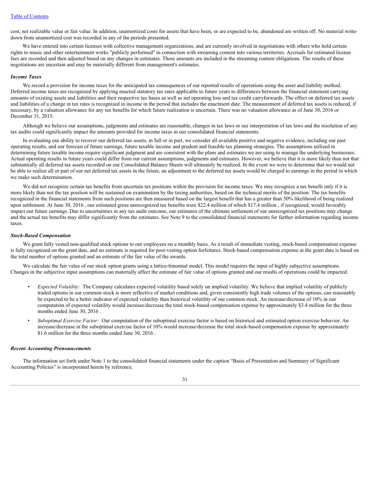cost, net realizable value or fair value. In addition, unamortized costs for assets that have been, or are expected to be, abandoned are written off. No material writedown from unamortized cost was recorded in any of the periods presented.

We have entered into certain licenses with collective management organizations, and are currently involved in negotiations with others who hold certain rights to music and other entertainment works "publicly performed" in connection with streaming content into various territories. Accruals for estimated license fees are recorded and then adjusted based on any changes in estimates. These amounts are included in the streaming content obligations. The results of these negotiations are uncertain and may be materially different from management's estimates.

#### *Income Taxes*

We record a provision for income taxes for the anticipated tax consequences of our reported results of operations using the asset and liability method. Deferred income taxes are recognized by applying enacted statutory tax rates applicable to future years to differences between the financial statement carrying amounts of existing assets and liabilities and their respective tax bases as well as net operating loss and tax credit carryforwards. The effect on deferred tax assets and liabilities of a change in tax rates is recognized in income in the period that includes the enactment date. The measurement of deferred tax assets is reduced, if necessary, by a valuation allowance for any tax benefits for which future realization is uncertain. There was no valuation allowance as of June 30, 2016 or December 31, 2015.

Although we believe our assumptions, judgments and estimates are reasonable, changes in tax laws or our interpretation of tax laws and the resolution of any tax audits could significantly impact the amounts provided for income taxes in our consolidated financial statements.

In evaluating our ability to recover our deferred tax assets, in full or in part, we consider all available positive and negative evidence, including our past operating results, and our forecast of future earnings, future taxable income and prudent and feasible tax planning strategies. The assumptions utilized in determining future taxable income require significant judgment and are consistent with the plans and estimates we are using to manage the underlying businesses. Actual operating results in future years could differ from our current assumptions, judgments and estimates. However, we believe that it is more likely than not that substantially all deferred tax assets recorded on our Consolidated Balance Sheets will ultimately be realized. In the event we were to determine that we would not be able to realize all or part of our net deferred tax assets in the future, an adjustment to the deferred tax assets would be charged to earnings in the period in which we make such determination.

We did not recognize certain tax benefits from uncertain tax positions within the provision for income taxes. We may recognize a tax benefit only if it is more likely than not the tax position will be sustained on examination by the taxing authorities, based on the technical merits of the position. The tax benefits recognized in the financial statements from such positions are then measured based on the largest benefit that has a greater than 50% likelihood of being realized upon settlement. At June 30, 2016 , our estimated gross unrecognized tax benefits were \$22.4 million of which \$17.4 million , if recognized, would favorably impact our future earnings. Due to uncertainties in any tax audit outcome, our estimates of the ultimate settlement of our unrecognized tax positions may change and the actual tax benefits may differ significantly from the estimates. See Note 9 to the consolidated financial statements for further information regarding income taxes.

#### *Stock-Based Compensation*

We grant fully vested non-qualified stock options to our employees on a monthly basis. As a result of immediate vesting, stock-based compensation expense is fully recognized on the grant date, and no estimate is required for post-vesting option forfeitures. Stock-based compensation expense at the grant date is based on the total number of options granted and an estimate of the fair value of the awards.

We calculate the fair value of our stock option grants using a lattice-binomial model. This model requires the input of highly subjective assumptions. Changes in the subjective input assumptions can materially affect the estimate of fair value of options granted and our results of operations could be impacted.

- *Expected Volatility:* The Company calculates expected volatility based solely on implied volatility. We believe that implied volatility of publicly traded options in our common stock is more reflective of market conditions and, given consistently high trade volumes of the options, can reasonably be expected to be a better indicator of expected volatility than historical volatility of our common stock. An increase/decrease of 10% in our computation of expected volatility would increase/decrease the total stock-based compensation expense by approximately \$3.4 million for the three months ended June 30, 2016 .
- *Suboptimal Exercise Factor:* Our computation of the suboptimal exercise factor is based on historical and estimated option exercise behavior. An increase/decrease in the suboptimal exercise factor of 10% would increase/decrease the total stock-based compensation expense by approximately \$1.6 million for the three months ended June 30, 2016 .

# *Recent Accounting Pronouncements*

The information set forth under Note 1 to the consolidated financial statements under the caption "Basis of Presentation and Summary of Significant Accounting Policies" is incorporated herein by reference.

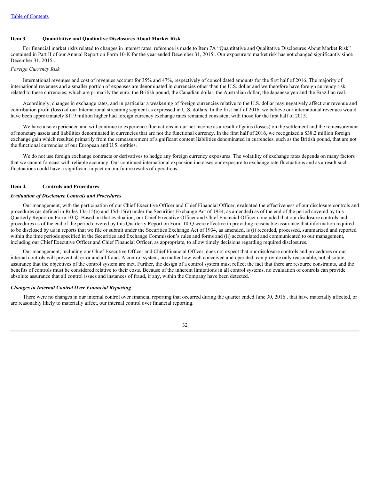#### **Item 3. Quantitative and Qualitative Disclosures About Market Risk**

For financial market risks related to changes in interest rates, reference is made to Item 7A "Quantitative and Qualitative Disclosures About Market Risk" contained in Part II of our Annual Report on Form 10-K for the year ended December 31, 2015 . Our exposure to market risk has not changed significantly since December 31, 2015 .

# *Foreign Currency Risk*

International revenues and cost of revenues account for 35% and 47%, respectively of consolidated amounts for the first half of 2016. The majority of international revenues and a smaller portion of expenses are denominated in currencies other than the U.S. dollar and we therefore have foreign currency risk related to these currencies, which are primarily the euro, the British pound, the Canadian dollar, the Australian dollar, the Japanese yen and the Brazilian real.

Accordingly, changes in exchange rates, and in particular a weakening of foreign currencies relative to the U.S. dollar may negatively affect our revenue and contribution profit (loss) of our International streaming segment as expressed in U.S. dollars. In the first half of 2016, we believe our international revenues would have been approximately \$119 million higher had foreign currency exchange rates remained consistent with those for the first half of 2015.

We have also experienced and will continue to experience fluctuations in our net income as a result of gains (losses) on the settlement and the remeasurement of monetary assets and liabilities denominated in currencies that are not the functional currency. In the first half of 2016, we recognized a \$38.2 million foreign exchange gain which resulted primarily from the remeasurement of significant content liabilities denominated in currencies, such as the British pound, that are not the functional currencies of our European and U.S. entities.

We do not use foreign exchange contracts or derivatives to hedge any foreign currency exposures. The volatility of exchange rates depends on many factors that we cannot forecast with reliable accuracy. Our continued international expansion increases our exposure to exchange rate fluctuations and as a result such fluctuations could have a significant impact on our future results of operations.

#### **Item 4. Controls and Procedures**

#### *Evaluation of Disclosure Controls and Procedures*

Our management, with the participation of our Chief Executive Officer and Chief Financial Officer, evaluated the effectiveness of our disclosure controls and procedures (as defined in Rules 13a-15(e) and 15d-15(e) under the Securities Exchange Act of 1934, as amended) as of the end of the period covered by this Quarterly Report on Form 10-Q. Based on that evaluation, our Chief Executive Officer and Chief Financial Officer concluded that our disclosure controls and procedures as of the end of the period covered by this Quarterly Report on Form 10-Q were effective in providing reasonable assurance that information required to be disclosed by us in reports that we file or submit under the Securities Exchange Act of 1934, as amended, is (i) recorded, processed, summarized and reported within the time periods specified in the Securities and Exchange Commission's rules and forms and (ii) accumulated and communicated to our management, including our Chief Executive Officer and Chief Financial Officer, as appropriate, to allow timely decisions regarding required disclosures.

Our management, including our Chief Executive Officer and Chief Financial Officer, does not expect that our disclosure controls and procedures or our internal controls will prevent all error and all fraud. A control system, no matter how well conceived and operated, can provide only reasonable, not absolute, assurance that the objectives of the control system are met. Further, the design of a control system must reflect the fact that there are resource constraints, and the benefits of controls must be considered relative to their costs. Because of the inherent limitations in all control systems, no evaluation of controls can provide absolute assurance that all control issues and instances of fraud, if any, within the Company have been detected.

#### *Changes in Internal Control Over Financial Reporting*

There were no changes in our internal control over financial reporting that occurred during the quarter ended June 30, 2016 , that have materially affected, or are reasonably likely to materially affect, our internal control over financial reporting.

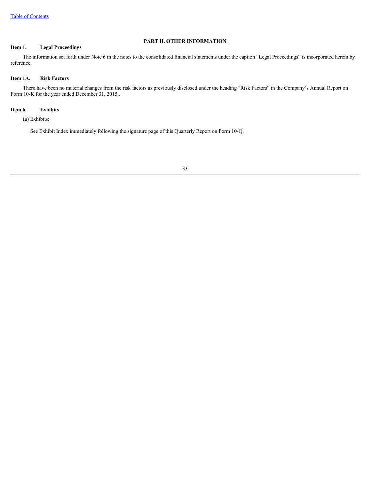# **PART II. OTHER INFORMATION**

# **Item 1. Legal Proceedings**

The information set forth under Note 6 in the notes to the consolidated financial statements under the caption "Legal Proceedings" is incorporated herein by reference.

# **Item 1A. Risk Factors**

There have been no material changes from the risk factors as previously disclosed under the heading "Risk Factors" in the Company's Annual Report on Form 10-K for the year ended December 31, 2015 .

# **Item 6. Exhibits**

(a) Exhibits:

See Exhibit Index immediately following the signature page of this Quarterly Report on Form 10-Q.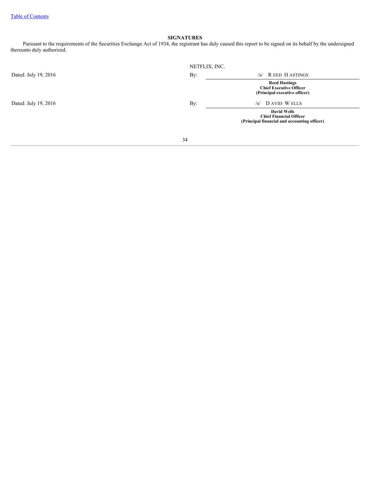# **SIGNATURES**

Pursuant to the requirements of the Securities Exchange Act of 1934, the registrant has duly caused this report to be signed on its behalf by the undersigned thereunto duly authorized.

|                      | NETFLIX, INC. |                                                                                                      |  |
|----------------------|---------------|------------------------------------------------------------------------------------------------------|--|
| Dated: July 19, 2016 | By:           | <b>REED HASTINGS</b><br>/s/                                                                          |  |
|                      |               | <b>Reed Hastings</b><br><b>Chief Executive Officer</b><br>(Principal executive officer)              |  |
| Dated: July 19, 2016 | By:           | /s/ D AVID W ELLS                                                                                    |  |
|                      |               | <b>David Wells</b><br><b>Chief Financial Officer</b><br>(Principal financial and accounting officer) |  |
|                      |               |                                                                                                      |  |

34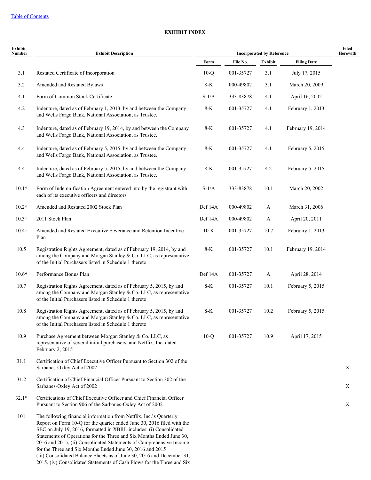# **EXHIBIT INDEX**

| Exhibit<br>Number | <b>Exhibit Description</b>                                                                                                                                                                                                                                                                                                                                                                                                                                                                                                                                                         |         |           | <b>Incorporated by Reference</b> |                    | Filed<br>Herewith |
|-------------------|------------------------------------------------------------------------------------------------------------------------------------------------------------------------------------------------------------------------------------------------------------------------------------------------------------------------------------------------------------------------------------------------------------------------------------------------------------------------------------------------------------------------------------------------------------------------------------|---------|-----------|----------------------------------|--------------------|-------------------|
|                   |                                                                                                                                                                                                                                                                                                                                                                                                                                                                                                                                                                                    | Form    | File No.  | <b>Exhibit</b>                   | <b>Filing Date</b> |                   |
| 3.1               | Restated Certificate of Incorporation                                                                                                                                                                                                                                                                                                                                                                                                                                                                                                                                              | $10-Q$  | 001-35727 | 3.1                              | July 17, 2015      |                   |
| 3.2               | Amended and Restated Bylaws                                                                                                                                                                                                                                                                                                                                                                                                                                                                                                                                                        | $8-K$   | 000-49802 | 3.1                              | March 20, 2009     |                   |
| 4.1               | Form of Common Stock Certificate                                                                                                                                                                                                                                                                                                                                                                                                                                                                                                                                                   | $S-1/A$ | 333-83878 | 4.1                              | April 16, 2002     |                   |
| 4.2               | Indenture, dated as of February 1, 2013, by and between the Company<br>and Wells Fargo Bank, National Association, as Trustee.                                                                                                                                                                                                                                                                                                                                                                                                                                                     | $8-K$   | 001-35727 | 4.1                              | February 1, 2013   |                   |
| 4.3               | Indenture, dated as of February 19, 2014, by and between the Company<br>and Wells Fargo Bank, National Association, as Trustee.                                                                                                                                                                                                                                                                                                                                                                                                                                                    | $8-K$   | 001-35727 | 4.1                              | February 19, 2014  |                   |
| 4.4               | Indenture, dated as of February 5, 2015, by and between the Company<br>and Wells Fargo Bank, National Association, as Trustee.                                                                                                                                                                                                                                                                                                                                                                                                                                                     | 8-K     | 001-35727 | 4.1                              | February 5, 2015   |                   |
| 4.4               | Indenture, dated as of February 5, 2015, by and between the Company<br>and Wells Fargo Bank, National Association, as Trustee.                                                                                                                                                                                                                                                                                                                                                                                                                                                     | $8-K$   | 001-35727 | 4.2                              | February 5, 2015   |                   |
| 10.1 <sup>†</sup> | Form of Indemnification Agreement entered into by the registrant with<br>each of its executive officers and directors                                                                                                                                                                                                                                                                                                                                                                                                                                                              | $S-1/A$ | 333-83878 | 10.1                             | March 20, 2002     |                   |
| $10.2\dagger$     | Amended and Restated 2002 Stock Plan                                                                                                                                                                                                                                                                                                                                                                                                                                                                                                                                               | Def 14A | 000-49802 | A                                | March 31, 2006     |                   |
| $10.3\dagger$     | 2011 Stock Plan                                                                                                                                                                                                                                                                                                                                                                                                                                                                                                                                                                    | Def 14A | 000-49802 | A                                | April 20, 2011     |                   |
| $10.4\dagger$     | Amended and Restated Executive Severance and Retention Incentive<br>Plan                                                                                                                                                                                                                                                                                                                                                                                                                                                                                                           | $10-K$  | 001-35727 | 10.7                             | February 1, 2013   |                   |
| 10.5              | Registration Rights Agreement, dated as of February 19, 2014, by and<br>among the Company and Morgan Stanley & Co. LLC, as representative<br>of the Initial Purchasers listed in Schedule 1 thereto                                                                                                                                                                                                                                                                                                                                                                                | 8-K     | 001-35727 | 10.1                             | February 19, 2014  |                   |
| $10.6\dagger$     | Performance Bonus Plan                                                                                                                                                                                                                                                                                                                                                                                                                                                                                                                                                             | Def 14A | 001-35727 | A                                | April 28, 2014     |                   |
| 10.7              | Registration Rights Agreement, dated as of February 5, 2015, by and<br>among the Company and Morgan Stanley & Co. LLC, as representative<br>of the Initial Purchasers listed in Schedule 1 thereto                                                                                                                                                                                                                                                                                                                                                                                 | $8-K$   | 001-35727 | 10.1                             | February 5, 2015   |                   |
| 10.8              | Registration Rights Agreement, dated as of February 5, 2015, by and<br>among the Company and Morgan Stanley & Co. LLC, as representative<br>of the Initial Purchasers listed in Schedule 1 thereto                                                                                                                                                                                                                                                                                                                                                                                 | 8-K     | 001-35727 | 10.2                             | February 5, 2015   |                   |
| 10.9              | Purchase Agreement between Morgan Stanley & Co. LLC, as<br>representative of several initial purchasers, and Netflix, Inc. dated<br>February 2, 2015                                                                                                                                                                                                                                                                                                                                                                                                                               | $10-Q$  | 001-35727 | 10.9                             | April 17, 2015     |                   |
| 31.1              | Certification of Chief Executive Officer Pursuant to Section 302 of the<br>Sarbanes-Oxley Act of 2002                                                                                                                                                                                                                                                                                                                                                                                                                                                                              |         |           |                                  |                    | X                 |
| 31.2              | Certification of Chief Financial Officer Pursuant to Section 302 of the<br>Sarbanes-Oxley Act of 2002                                                                                                                                                                                                                                                                                                                                                                                                                                                                              |         |           |                                  |                    | X                 |
| $32.1*$           | Certifications of Chief Executive Officer and Chief Financial Officer<br>Pursuant to Section 906 of the Sarbanes-Oxley Act of 2002                                                                                                                                                                                                                                                                                                                                                                                                                                                 |         |           |                                  |                    | X                 |
| 101               | The following financial information from Netflix, Inc.'s Quarterly<br>Report on Form 10-Q for the quarter ended June 30, 2016 filed with the<br>SEC on July 19, 2016, formatted in XBRL includes: (i) Consolidated<br>Statements of Operations for the Three and Six Months Ended June 30,<br>2016 and 2015, (ii) Consolidated Statements of Comprehensive Income<br>for the Three and Six Months Ended June 30, 2016 and 2015<br>(iii) Consolidated Balance Sheets as of June 30, 2016 and December 31,<br>2015, (iv) Consolidated Statements of Cash Flows for the Three and Six |         |           |                                  |                    |                   |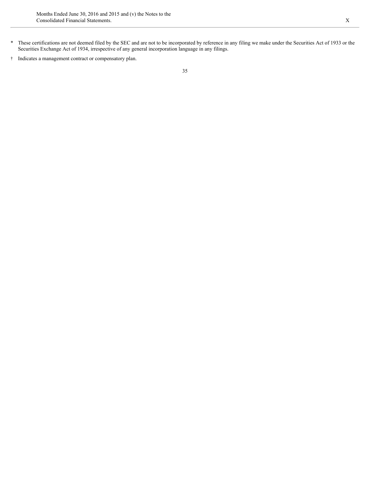- \* These certifications are not deemed filed by the SEC and are not to be incorporated by reference in any filing we make under the Securities Act of 1933 or the Securities Exchange Act of 1934, irrespective of any general incorporation language in any filings.
- † Indicates a management contract or compensatory plan.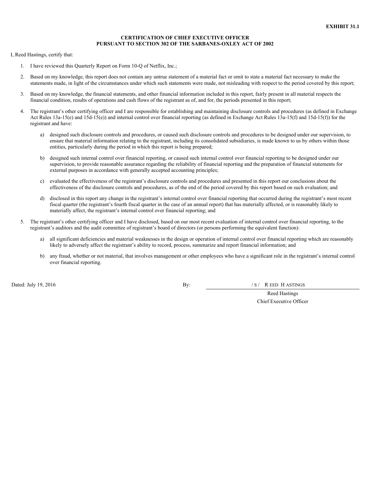# **CERTIFICATION OF CHIEF EXECUTIVE OFFICER PURSUANT TO SECTION 302 OF THE SARBANES-OXLEY ACT OF 2002**

I, Reed Hastings, certify that:

- 1. I have reviewed this Quarterly Report on Form 10-Q of Netflix, Inc.;
- 2. Based on my knowledge, this report does not contain any untrue statement of a material fact or omit to state a material fact necessary to make the statements made, in light of the circumstances under which such statements were made, not misleading with respect to the period covered by this report;
- 3. Based on my knowledge, the financial statements, and other financial information included in this report, fairly present in all material respects the financial condition, results of operations and cash flows of the registrant as of, and for, the periods presented in this report;
- 4. The registrant's other certifying officer and I are responsible for establishing and maintaining disclosure controls and procedures (as defined in Exchange Act Rules 13a-15(e) and 15d-15(e)) and internal control over financial reporting (as defined in Exchange Act Rules 13a-15(f) and 15d-15(f)) for the registrant and have:
	- a) designed such disclosure controls and procedures, or caused such disclosure controls and procedures to be designed under our supervision, to ensure that material information relating to the registrant, including its consolidated subsidiaries, is made known to us by others within those entities, particularly during the period in which this report is being prepared;
	- b) designed such internal control over financial reporting, or caused such internal control over financial reporting to be designed under our supervision, to provide reasonable assurance regarding the reliability of financial reporting and the preparation of financial statements for external purposes in accordance with generally accepted accounting principles;
	- c) evaluated the effectiveness of the registrant's disclosure controls and procedures and presented in this report our conclusions about the effectiveness of the disclosure controls and procedures, as of the end of the period covered by this report based on such evaluation; and
	- d) disclosed in this report any change in the registrant's internal control over financial reporting that occurred during the registrant's most recent fiscal quarter (the registrant's fourth fiscal quarter in the case of an annual report) that has materially affected, or is reasonably likely to materially affect, the registrant's internal control over financial reporting; and
- 5. The registrant's other certifying officer and I have disclosed, based on our most recent evaluation of internal control over financial reporting, to the registrant's auditors and the audit committee of registrant's board of directors (or persons performing the equivalent function):
	- a) all significant deficiencies and material weaknesses in the design or operation of internal control over financial reporting which are reasonably likely to adversely affect the registrant's ability to record, process, summarize and report financial information; and
	- b) any fraud, whether or not material, that involves management or other employees who have a significant role in the registrant's internal control over financial reporting.

Dated: July 19, 2016 **By:** *By: S* / R EED H ASTINGS

Reed Hastings Chief Executive Officer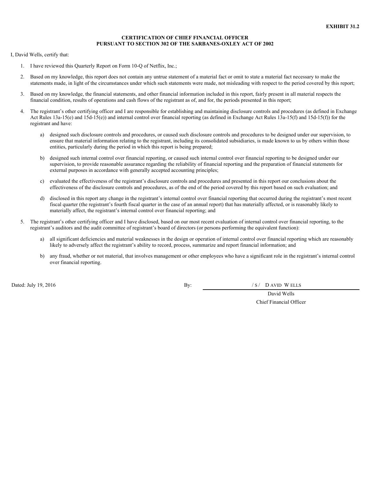# **CERTIFICATION OF CHIEF FINANCIAL OFFICER PURSUANT TO SECTION 302 OF THE SARBANES-OXLEY ACT OF 2002**

I, David Wells, certify that:

- 1. I have reviewed this Quarterly Report on Form 10-Q of Netflix, Inc.;
- 2. Based on my knowledge, this report does not contain any untrue statement of a material fact or omit to state a material fact necessary to make the statements made, in light of the circumstances under which such statements were made, not misleading with respect to the period covered by this report;
- 3. Based on my knowledge, the financial statements, and other financial information included in this report, fairly present in all material respects the financial condition, results of operations and cash flows of the registrant as of, and for, the periods presented in this report;
- 4. The registrant's other certifying officer and I are responsible for establishing and maintaining disclosure controls and procedures (as defined in Exchange Act Rules 13a-15(e) and 15d-15(e)) and internal control over financial reporting (as defined in Exchange Act Rules 13a-15(f) and 15d-15(f)) for the registrant and have:
	- a) designed such disclosure controls and procedures, or caused such disclosure controls and procedures to be designed under our supervision, to ensure that material information relating to the registrant, including its consolidated subsidiaries, is made known to us by others within those entities, particularly during the period in which this report is being prepared;
	- b) designed such internal control over financial reporting, or caused such internal control over financial reporting to be designed under our supervision, to provide reasonable assurance regarding the reliability of financial reporting and the preparation of financial statements for external purposes in accordance with generally accepted accounting principles;
	- c) evaluated the effectiveness of the registrant's disclosure controls and procedures and presented in this report our conclusions about the effectiveness of the disclosure controls and procedures, as of the end of the period covered by this report based on such evaluation; and
	- d) disclosed in this report any change in the registrant's internal control over financial reporting that occurred during the registrant's most recent fiscal quarter (the registrant's fourth fiscal quarter in the case of an annual report) that has materially affected, or is reasonably likely to materially affect, the registrant's internal control over financial reporting; and
- 5. The registrant's other certifying officer and I have disclosed, based on our most recent evaluation of internal control over financial reporting, to the registrant's auditors and the audit committee of registrant's board of directors (or persons performing the equivalent function):
	- a) all significant deficiencies and material weaknesses in the design or operation of internal control over financial reporting which are reasonably likely to adversely affect the registrant's ability to record, process, summarize and report financial information; and
	- b) any fraud, whether or not material, that involves management or other employees who have a significant role in the registrant's internal control over financial reporting.

Dated: July 19, 2016 **By:** / S / D AVID W ELLS

David Wells Chief Financial Officer